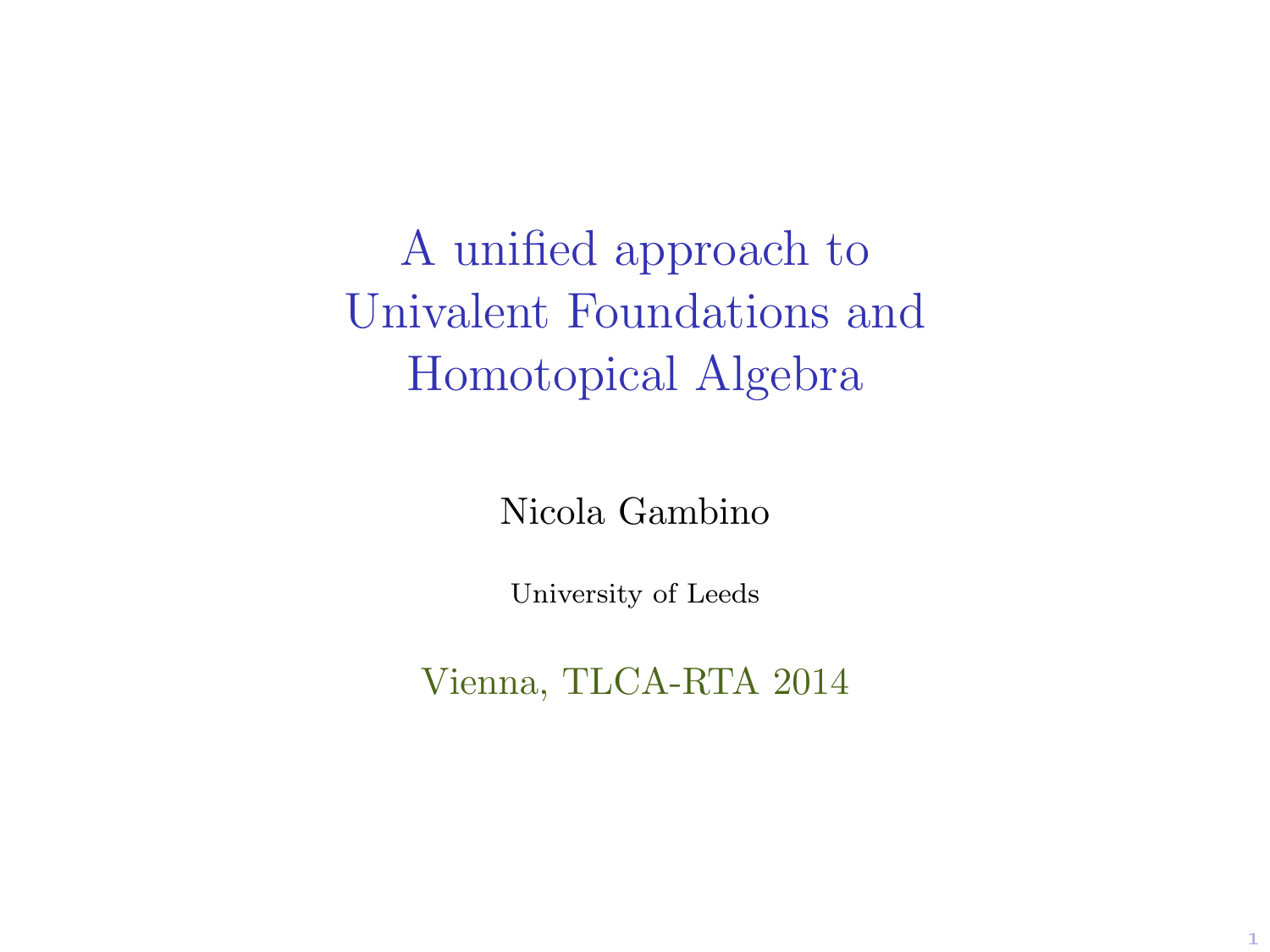A unified approach to Univalent Foundations and Homotopical Algebra

Nicola Gambino

University of Leeds

Vienna, TLCA-RTA 2014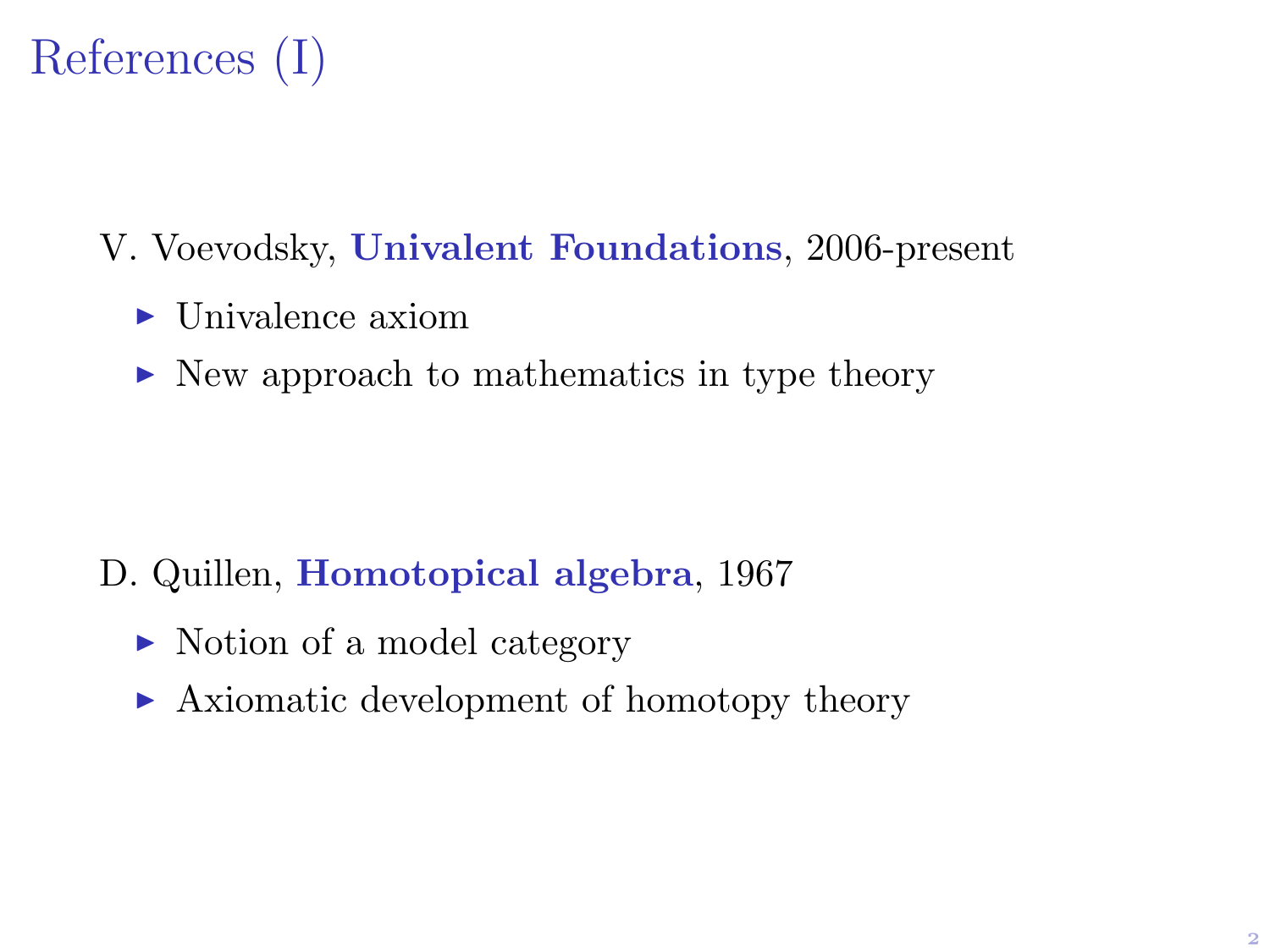

- V. Voevodsky, Univalent Foundations, 2006-present
	- $\blacktriangleright$  Univalence axiom
	- $\triangleright$  New approach to mathematics in type theory

- D. Quillen, Homotopical algebra, 1967
	- ► Notion of a model category
	- $\triangleright$  Axiomatic development of homotopy theory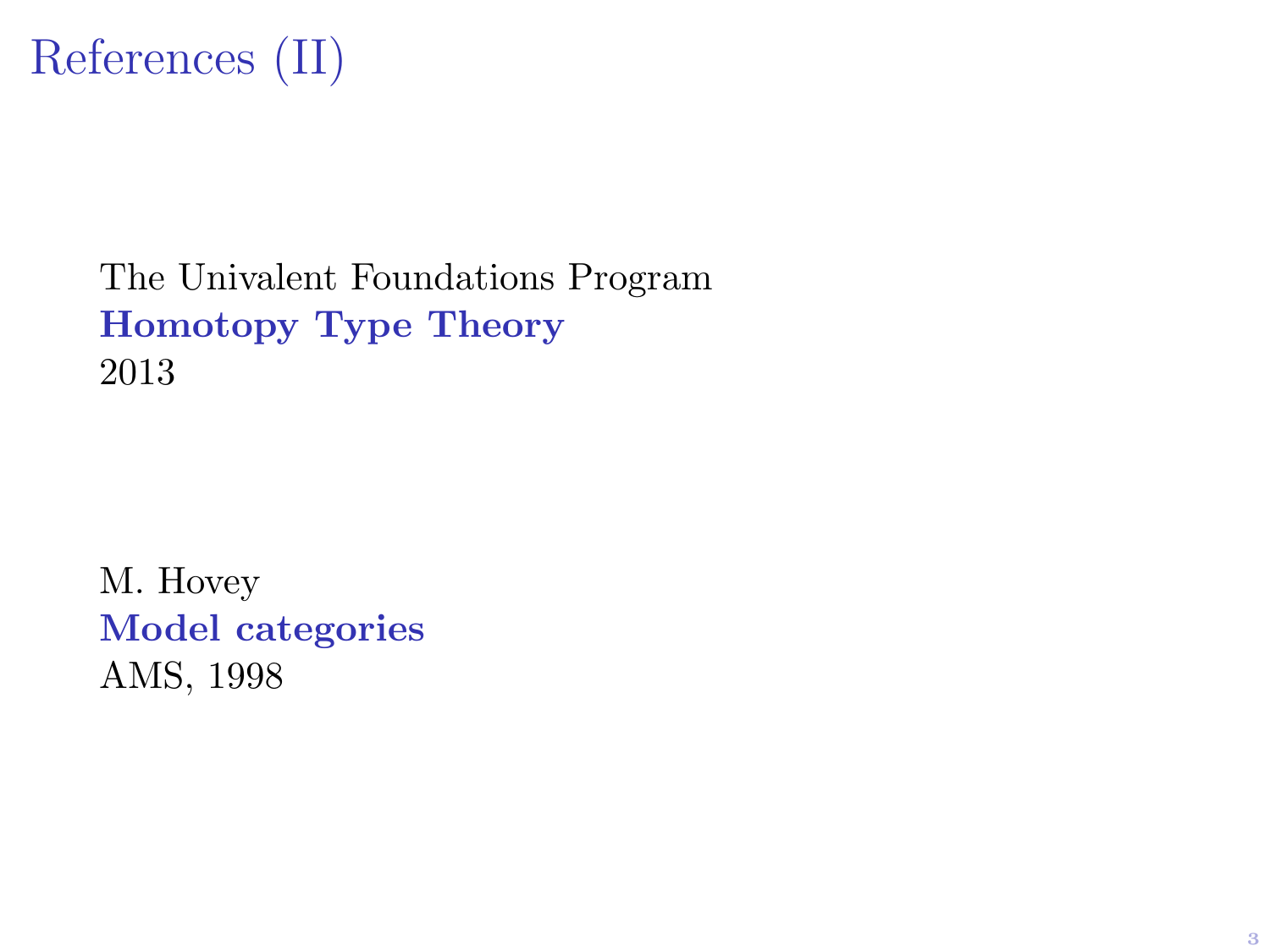

The Univalent Foundations Program Homotopy Type Theory 2013

M. Hovey Model categories AMS, 1998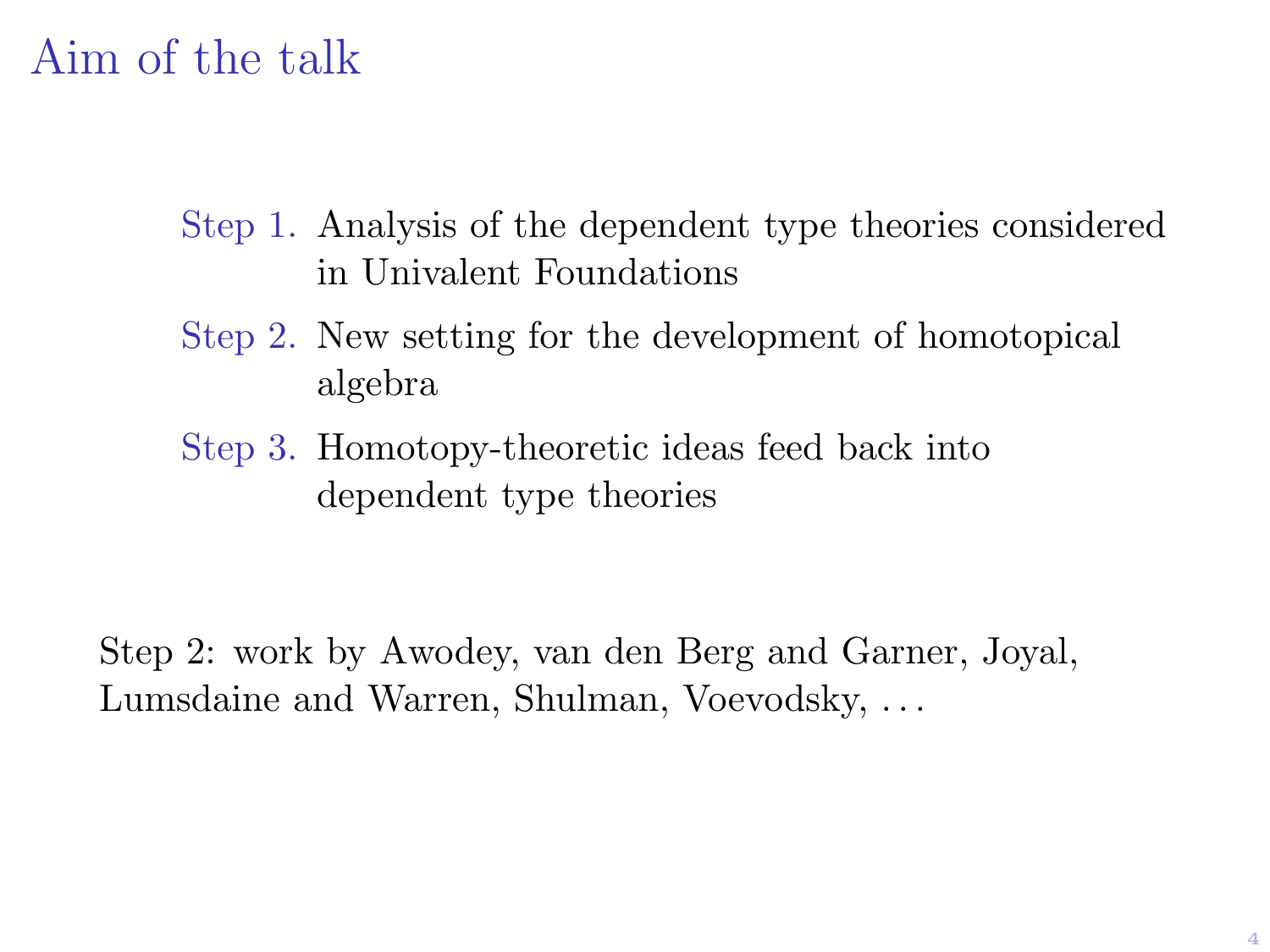# Aim of the talk

- Step 1. Analysis of the dependent type theories considered in Univalent Foundations
- Step 2. New setting for the development of homotopical algebra
- Step 3. Homotopy-theoretic ideas feed back into dependent type theories

Step 2: work by Awodey, van den Berg and Garner, Joyal, Lumsdaine and Warren, Shulman, Voevodsky, . . .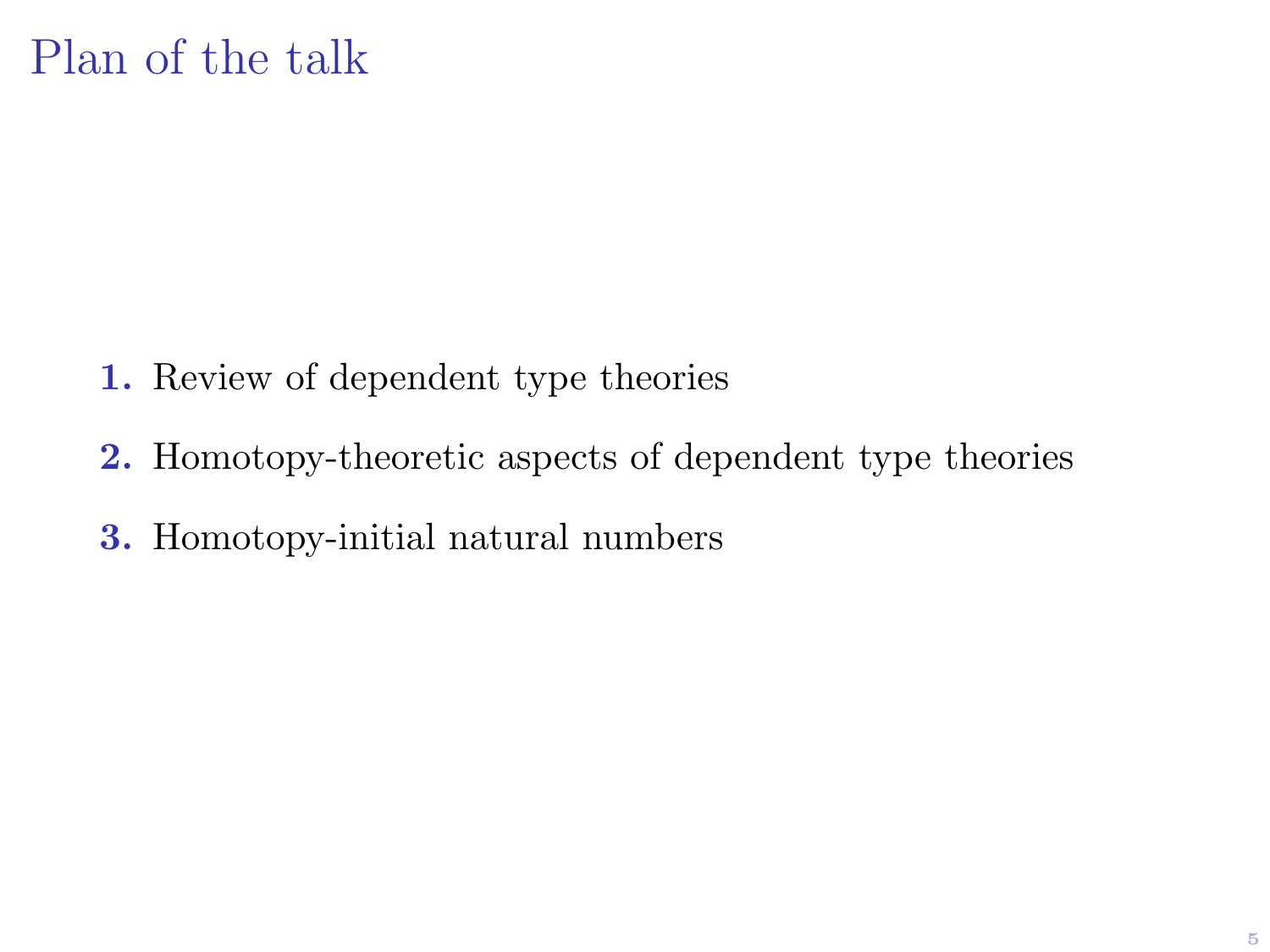- 1. Review of dependent type theories
- 2. Homotopy-theoretic aspects of dependent type theories
- 3. Homotopy-initial natural numbers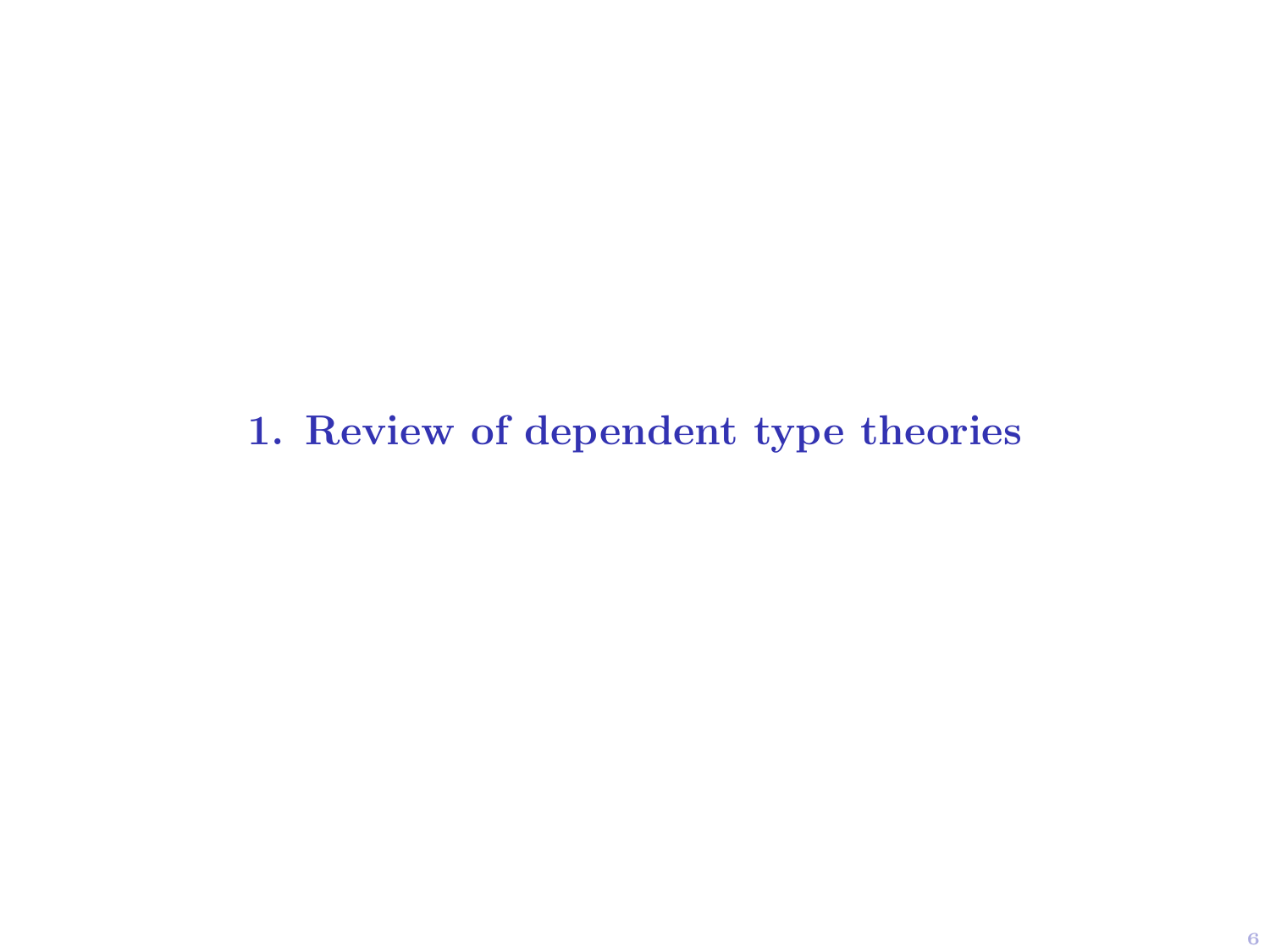1. Review of dependent type theories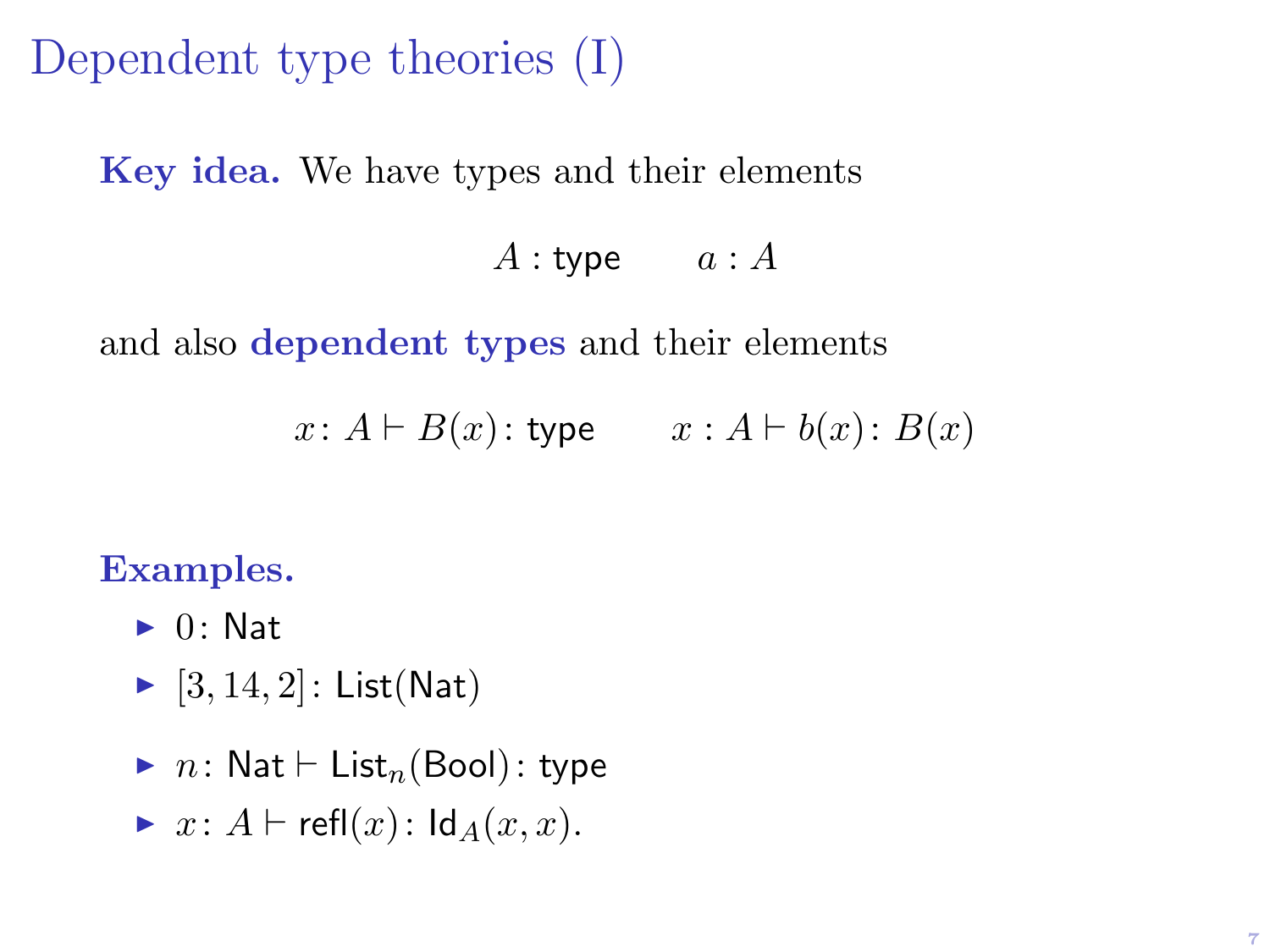Dependent type theories (I)

Key idea. We have types and their elements

#### $A:$  type  $a:A$

and also dependent types and their elements

 $x: A \vdash B(x):$  type  $x: A \vdash b(x): B(x)$ 

#### Examples.

- $\blacktriangleright$  0: Nat
- $\blacktriangleright$  [3, 14, 2]: List(Nat)
- $\blacktriangleright$  n: Nat  $\vdash$  List<sub>n</sub>(Bool): type

$$
\blacktriangleright \ x \colon A \vdash \mathsf{refl}(x) \colon \mathsf{Id}_A(x, x).
$$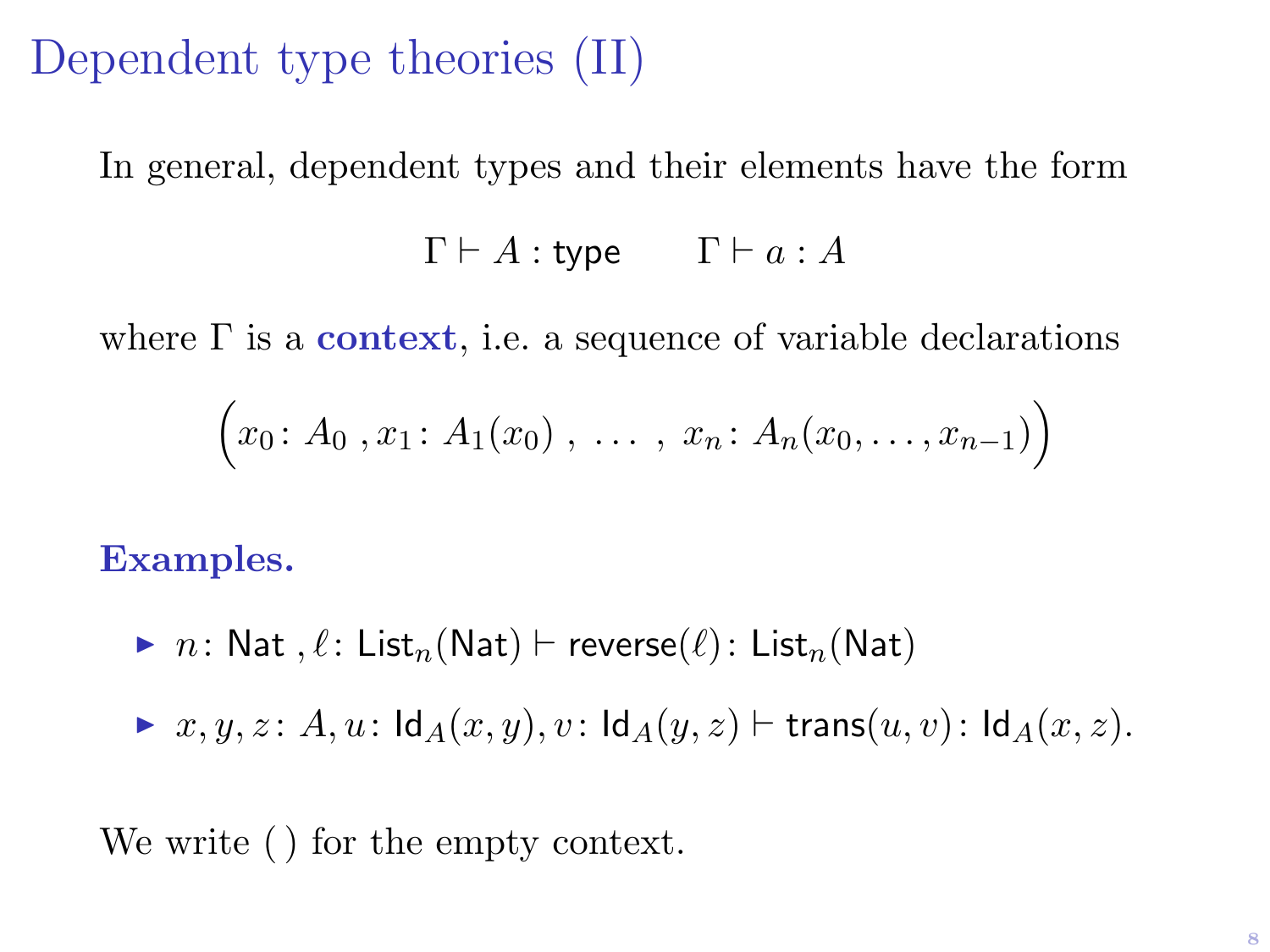### Dependent type theories (II)

In general, dependent types and their elements have the form

$$
\Gamma \vdash A : \mathsf{type} \qquad \Gamma \vdash a : A
$$

where  $\Gamma$  is a **context**, i.e. a sequence of variable declarations

$$
(x_0: A_0, x_1: A_1(x_0), \ldots, x_n: A_n(x_0, \ldots, x_{n-1}))
$$

Examples.

 $\triangleright$  n: Nat ,  $\ell$ : List<sub>n</sub>(Nat)  $\vdash$  reverse( $\ell$ ): List<sub>n</sub>(Nat)

 $\triangleright x, y, z \colon A, u : \mathsf{Id}_A(x, y), v : \mathsf{Id}_A(y, z) \vdash \mathsf{trans}(u, v) : \mathsf{Id}_A(x, z).$ 

We write ( ) for the empty context.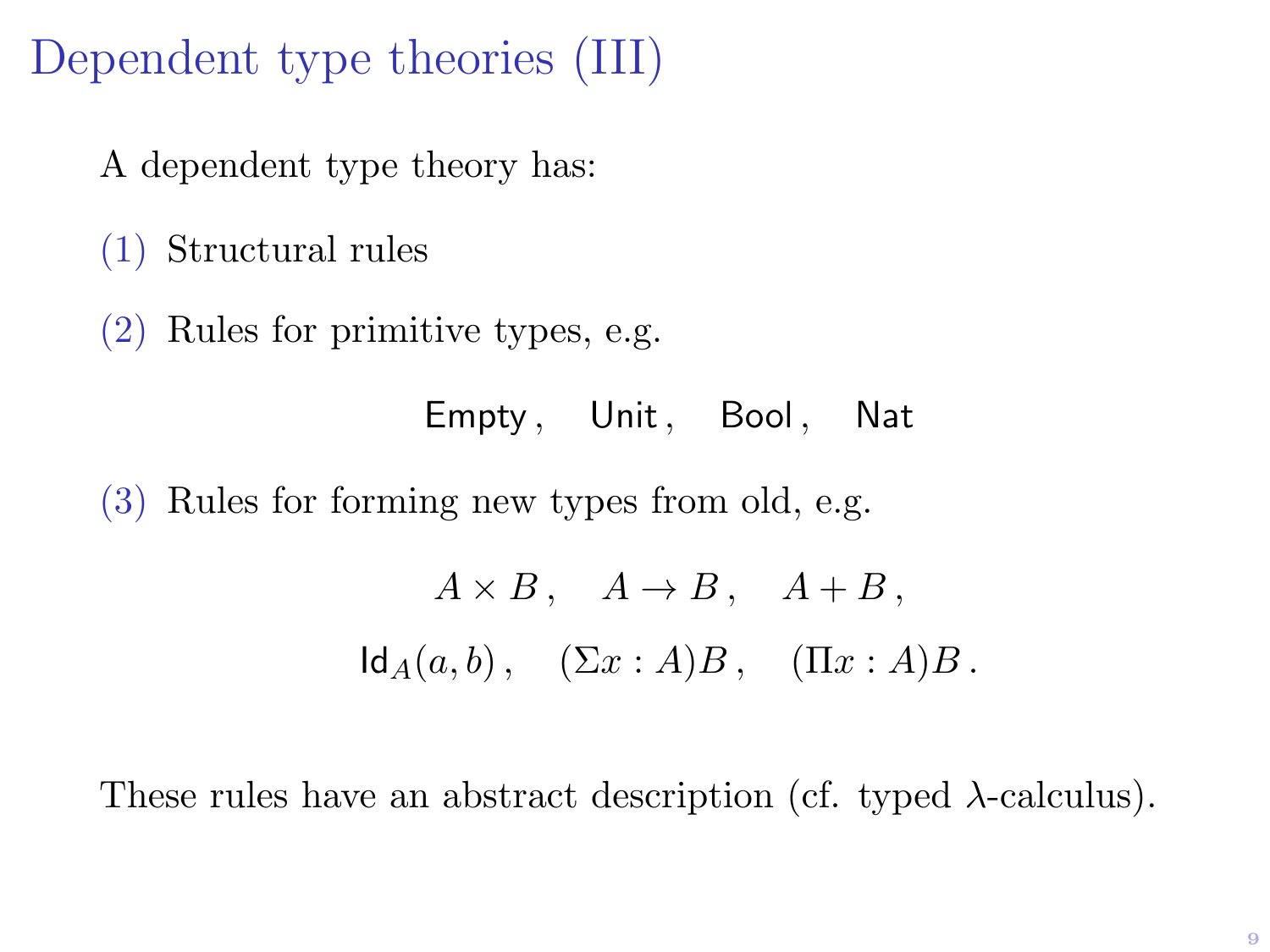### Dependent type theories (III)

A dependent type theory has:

(1) Structural rules

(2) Rules for primitive types, e.g.

Empty, Unit, Bool, Nat

(3) Rules for forming new types from old, e.g.

$$
A \times B
$$
,  $A \to B$ ,  $A + B$ ,  
\n $Id_A(a, b)$ ,  $(\Sigma x : A)B$ ,  $(\Pi x : A)B$ .

These rules have an abstract description (cf. typed  $\lambda$ -calculus).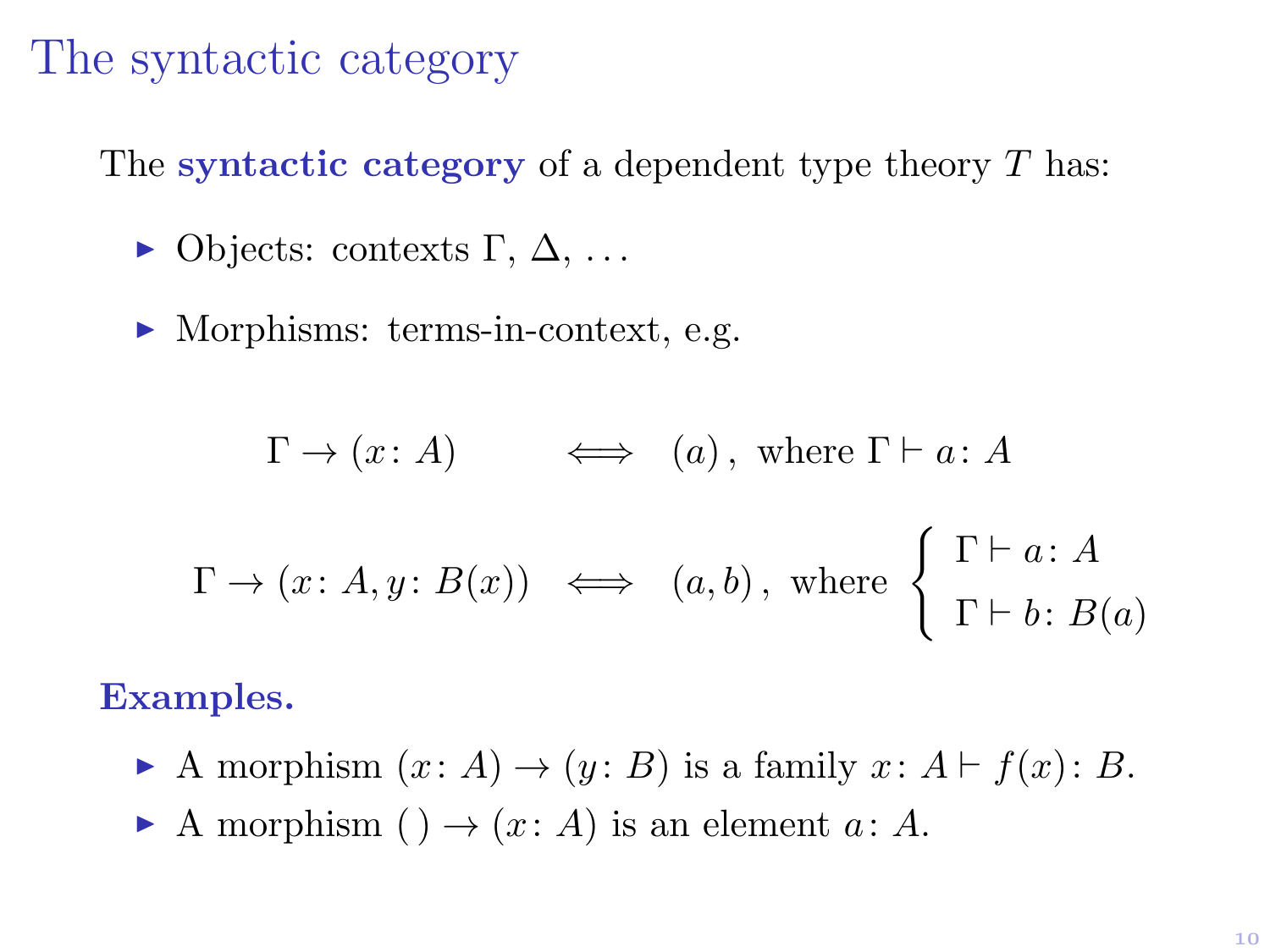### The syntactic category

The syntactic category of a dependent type theory  $T$  has:

- $\triangleright$  Objects: contexts Γ, Δ, ...
- $\blacktriangleright$  Morphisms: terms-in-context, e.g.

$$
\Gamma \to (x : A) \qquad \Longleftrightarrow \quad (a), \text{ where } \Gamma \vdash a : A
$$
  

$$
\Gamma \to (x : A, y : B(x)) \qquad \Longleftrightarrow \quad (a, b), \text{ where } \begin{cases} \Gamma \vdash a : A \\ \Gamma \vdash b : B(a) \end{cases}
$$

#### Examples.

- A morphism  $(x: A) \rightarrow (y: B)$  is a family  $x: A \vdash f(x): B$ .
- A morphism ( )  $\rightarrow$  (x: A) is an element a: A.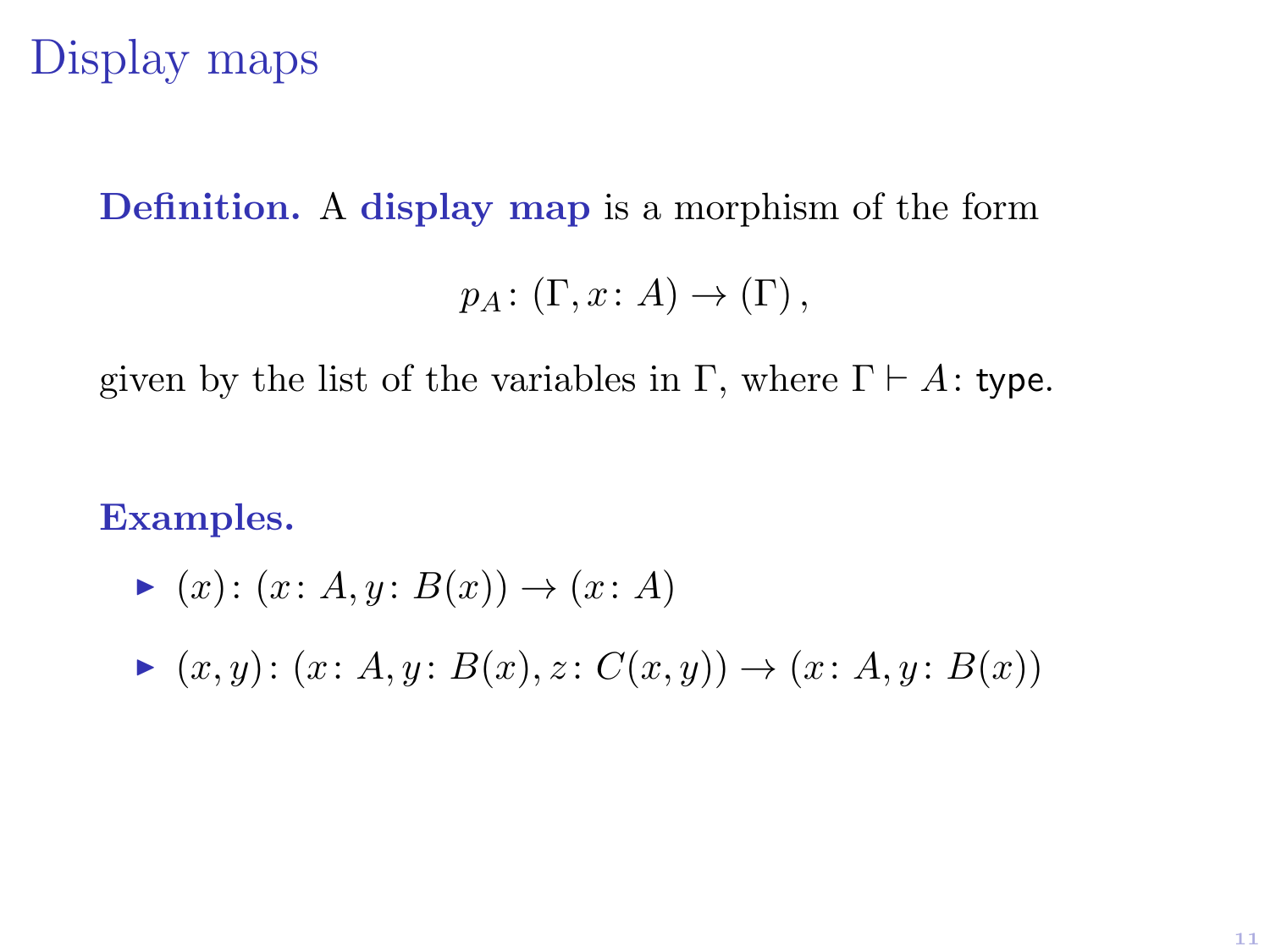### Display maps

#### Definition. A display map is a morphism of the form

$$
p_A\colon (\Gamma, x\colon A)\to(\Gamma)\,,
$$

given by the list of the variables in Γ, where  $\Gamma \vdash A$ : type.

Examples.

$$
\blacktriangleright (x) \colon (x \colon A, y \colon B(x)) \to (x \colon A)
$$

$$
\blacktriangleright (x, y) \colon (x \colon A, y \colon B(x), z \colon C(x, y)) \to (x \colon A, y \colon B(x))
$$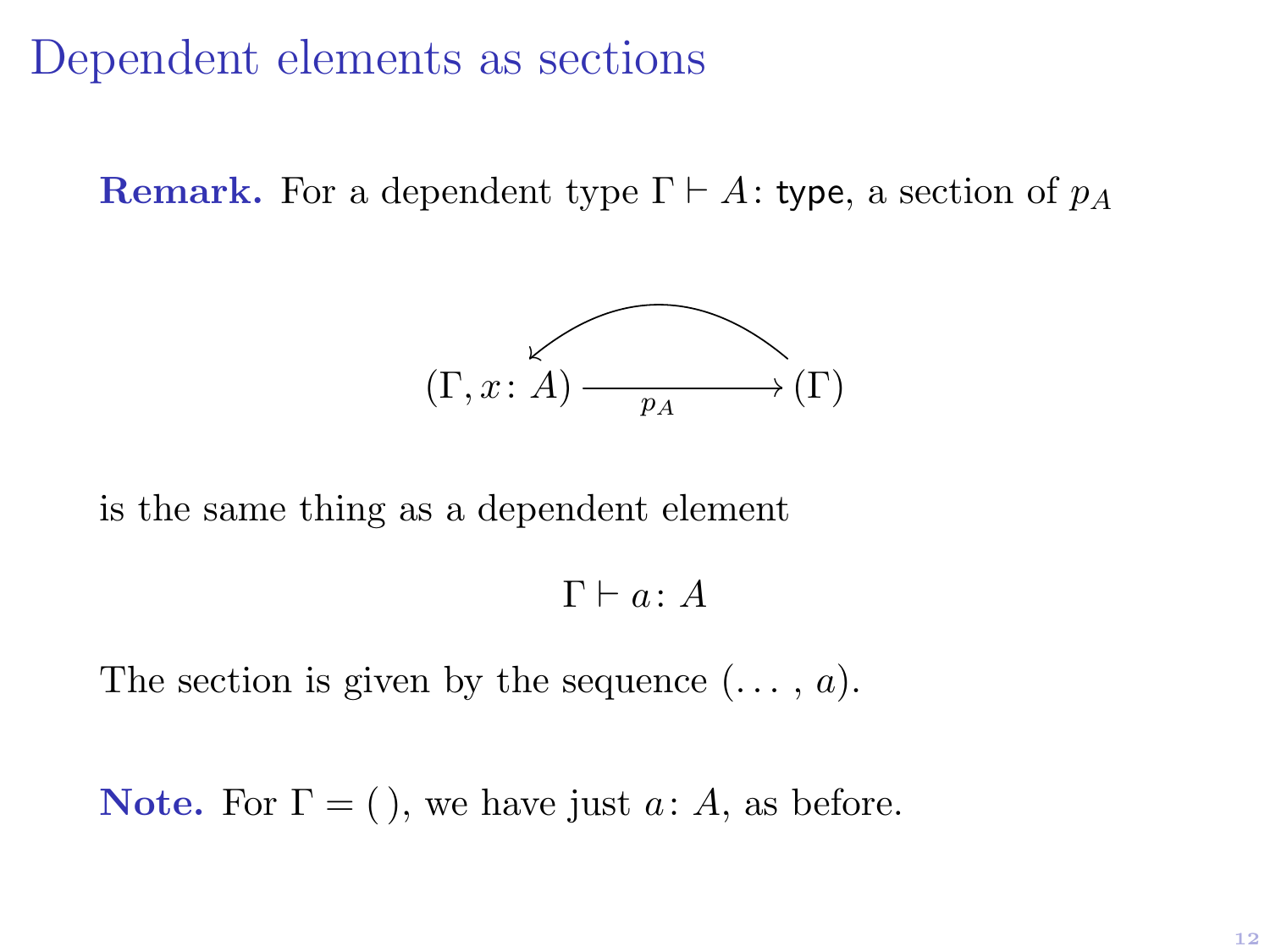### Dependent elements as sections

**Remark.** For a dependent type  $\Gamma \vdash A$ : type, a section of  $p_A$ 



is the same thing as a dependent element

 $\Gamma \vdash a : A$ 

The section is given by the sequence  $(\ldots, a)$ .

**Note.** For  $\Gamma = ($  ), we have just  $a: A$ , as before.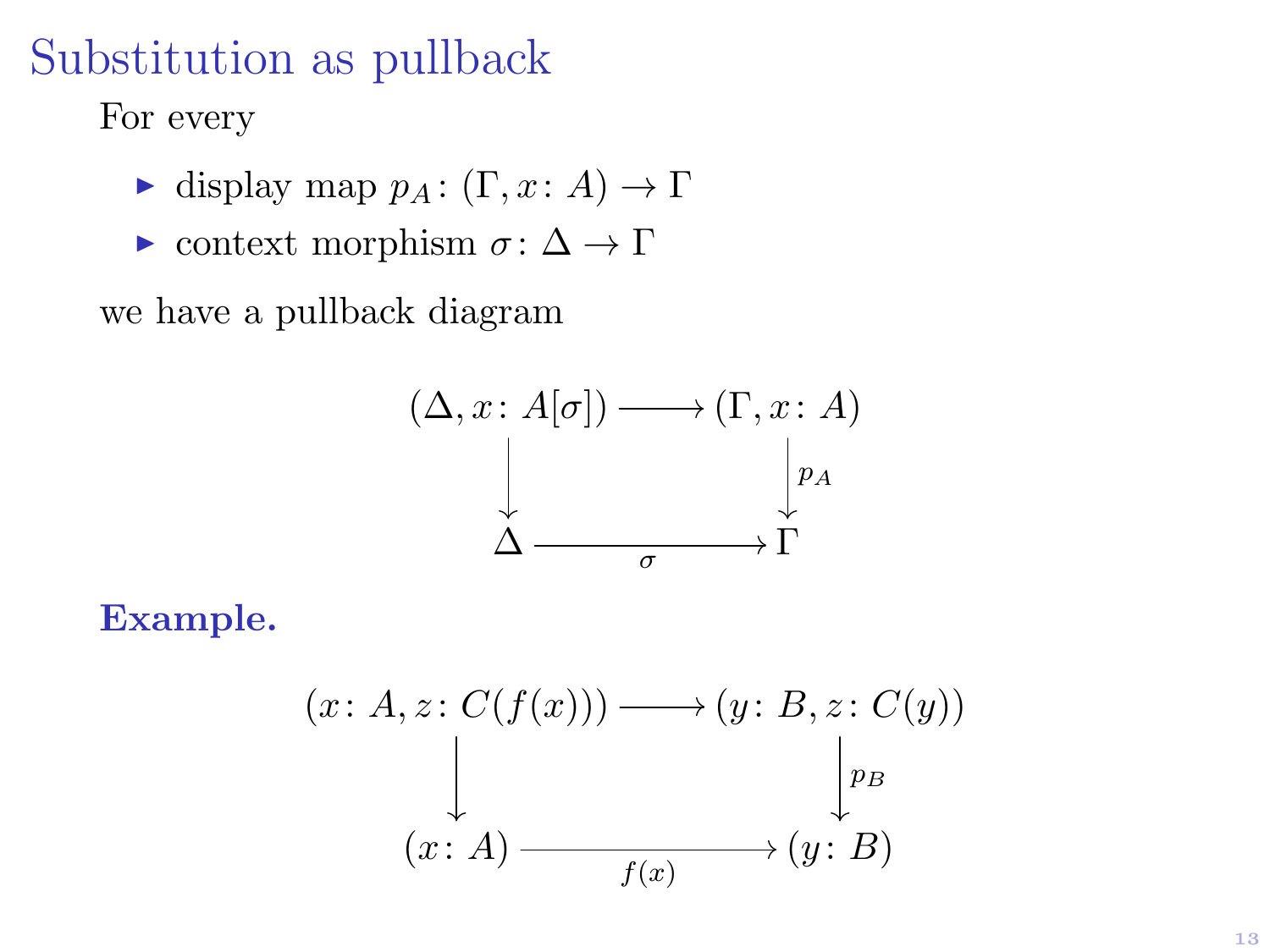### Substitution as pullback

For every

- $\blacktriangleright$  display map  $p_A : (\Gamma, x : A) \to \Gamma$
- $\triangleright$  context morphism  $\sigma$ : Δ → Γ

we have a pullback diagram



Example.

$$
(x: A, z: C(f(x))) \longrightarrow (y: B, z: C(y))
$$
  
\n
$$
\downarrow \qquad \qquad \downarrow_{PB}
$$
  
\n
$$
(x: A) \longrightarrow f(x) \qquad \qquad (y: B)
$$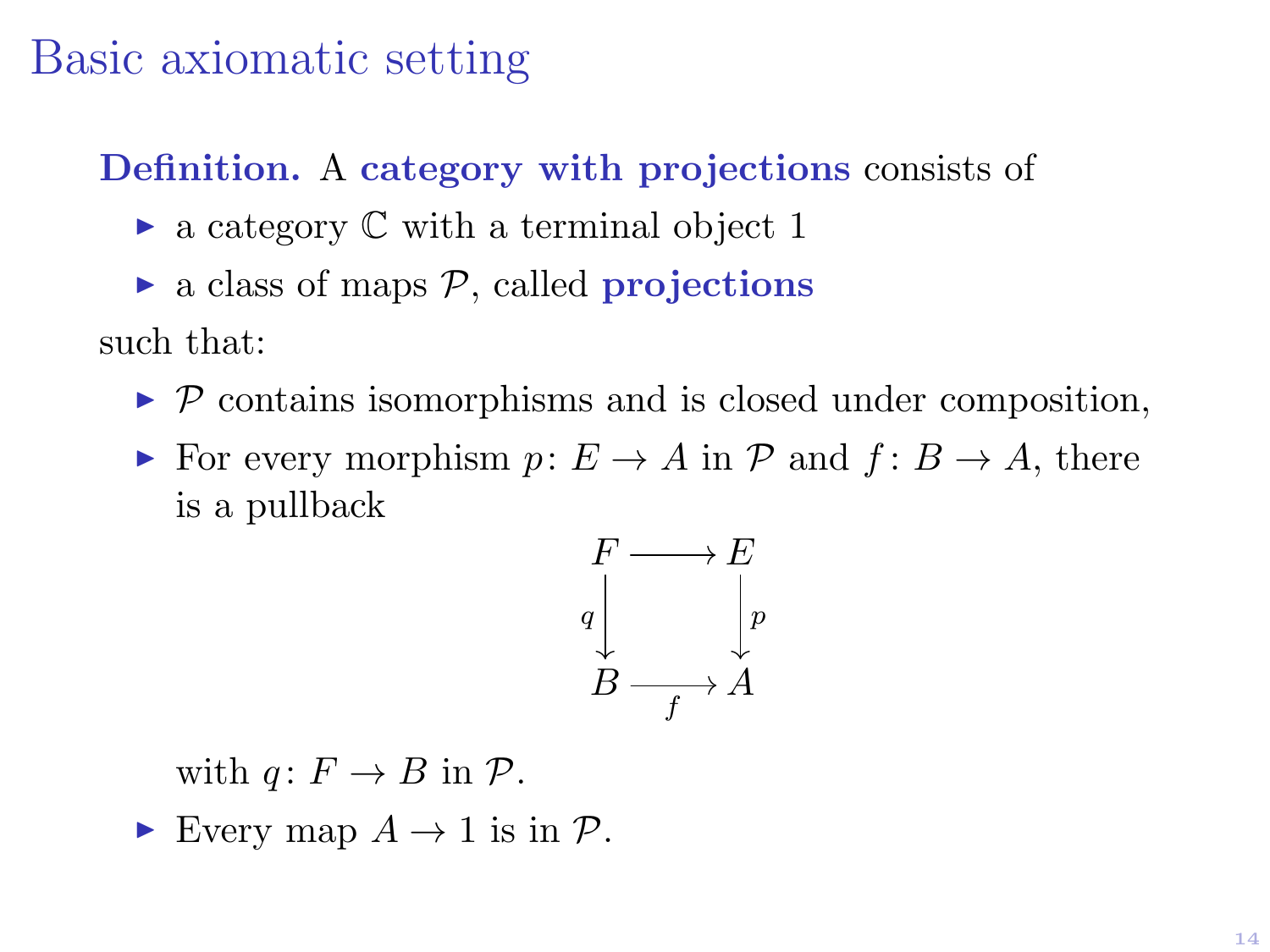### Basic axiomatic setting

Definition. A category with projections consists of

- $\triangleright$  a category  $\mathbb C$  with a terminal object 1
- $\triangleright$  a class of maps  $\mathcal{P}$ , called **projections**

such that:

- $\triangleright$  P contains isomorphisms and is closed under composition,
- ► For every morphism  $p: E \to A$  in  $\mathcal P$  and  $f: B \to A$ , there is a pullback



with  $q: F \to B$  in  $\mathcal{P}$ .

Every map  $A \to 1$  is in  $\mathcal{P}$ .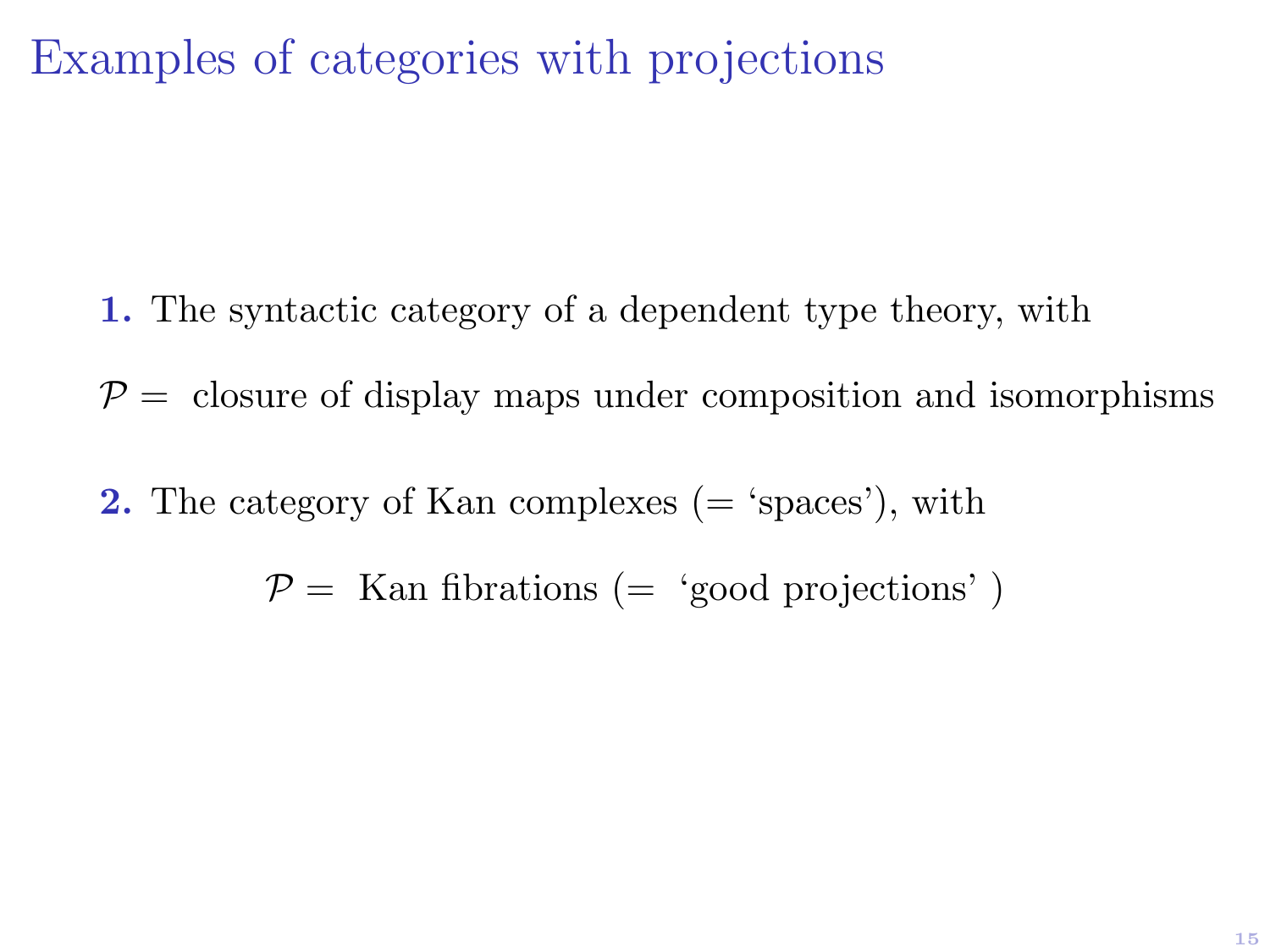### Examples of categories with projections

- 1. The syntactic category of a dependent type theory, with
- $P =$  closure of display maps under composition and isomorphisms
- **2.** The category of Kan complexes  $(=$  'spaces'), with
	- $P =$  Kan fibrations (= 'good projections')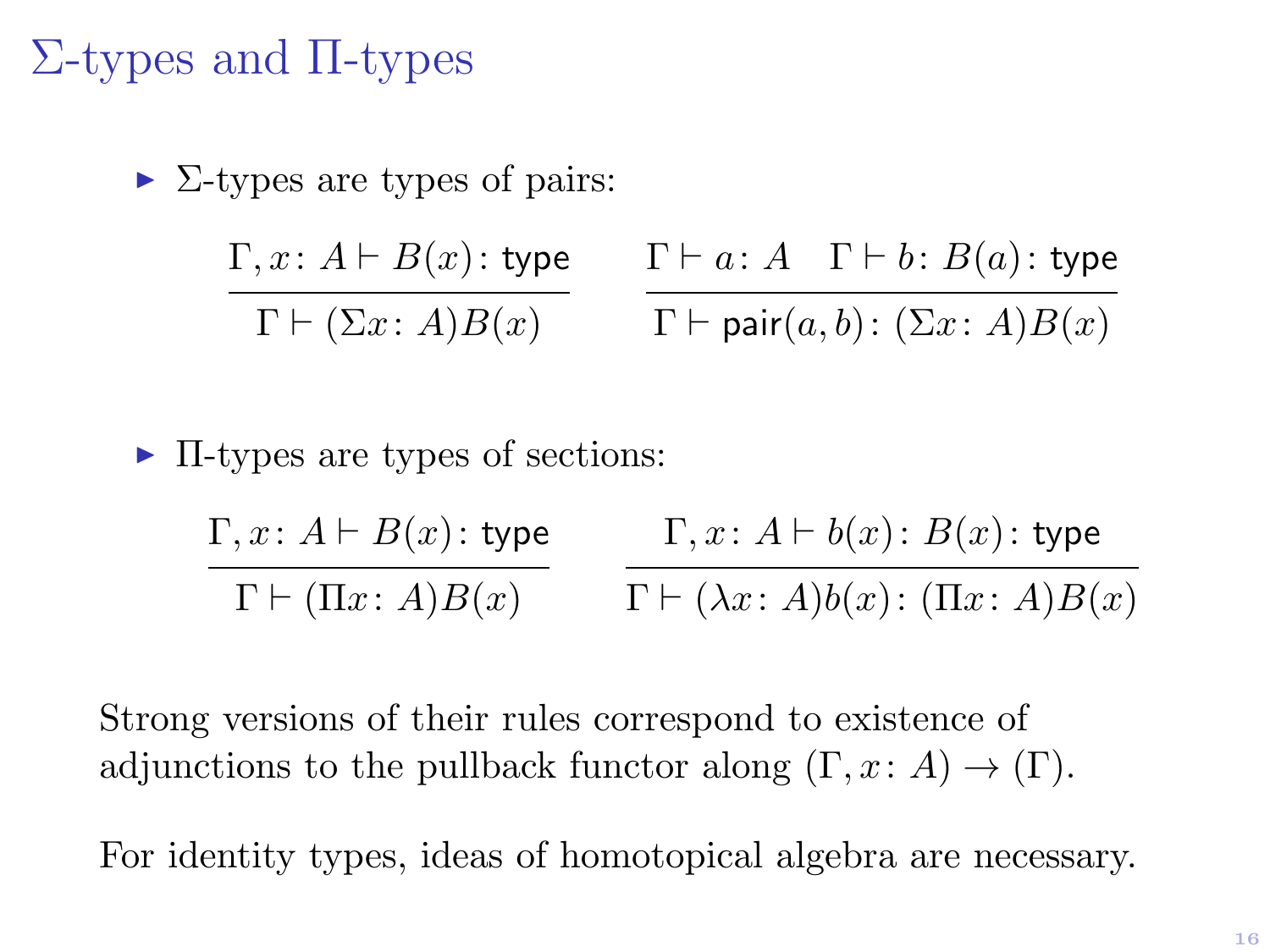### Σ-types and Π-types

 $\triangleright$  Σ-types are types of pairs:

$$
\frac{\Gamma, x \colon A \vdash B(x) \colon \mathsf{type}}{\Gamma \vdash (\Sigma x \colon A)B(x)} \qquad \frac{\Gamma \vdash a \colon A \quad \Gamma \vdash b \colon B(a) \colon \mathsf{type}}{\Gamma \vdash \mathsf{pair}(a, b) \colon (\Sigma x \colon A)B(x)}
$$

#### $\blacktriangleright$  II-types are types of sections:

| $\Gamma, x \colon A \vdash B(x) \colon \mathsf{type}$ | $\Gamma, x \colon A \vdash b(x) \colon B(x) \colon \mathsf{type}$    |
|-------------------------------------------------------|----------------------------------------------------------------------|
| $\Gamma \vdash (\Pi x \colon A) B(x)$                 | $\Gamma \vdash (\lambda x \colon A)b(x) \colon (\Pi x \colon A)B(x)$ |

Strong versions of their rules correspond to existence of adjunctions to the pullback functor along  $(\Gamma, x : A) \to (\Gamma)$ .

For identity types, ideas of homotopical algebra are necessary.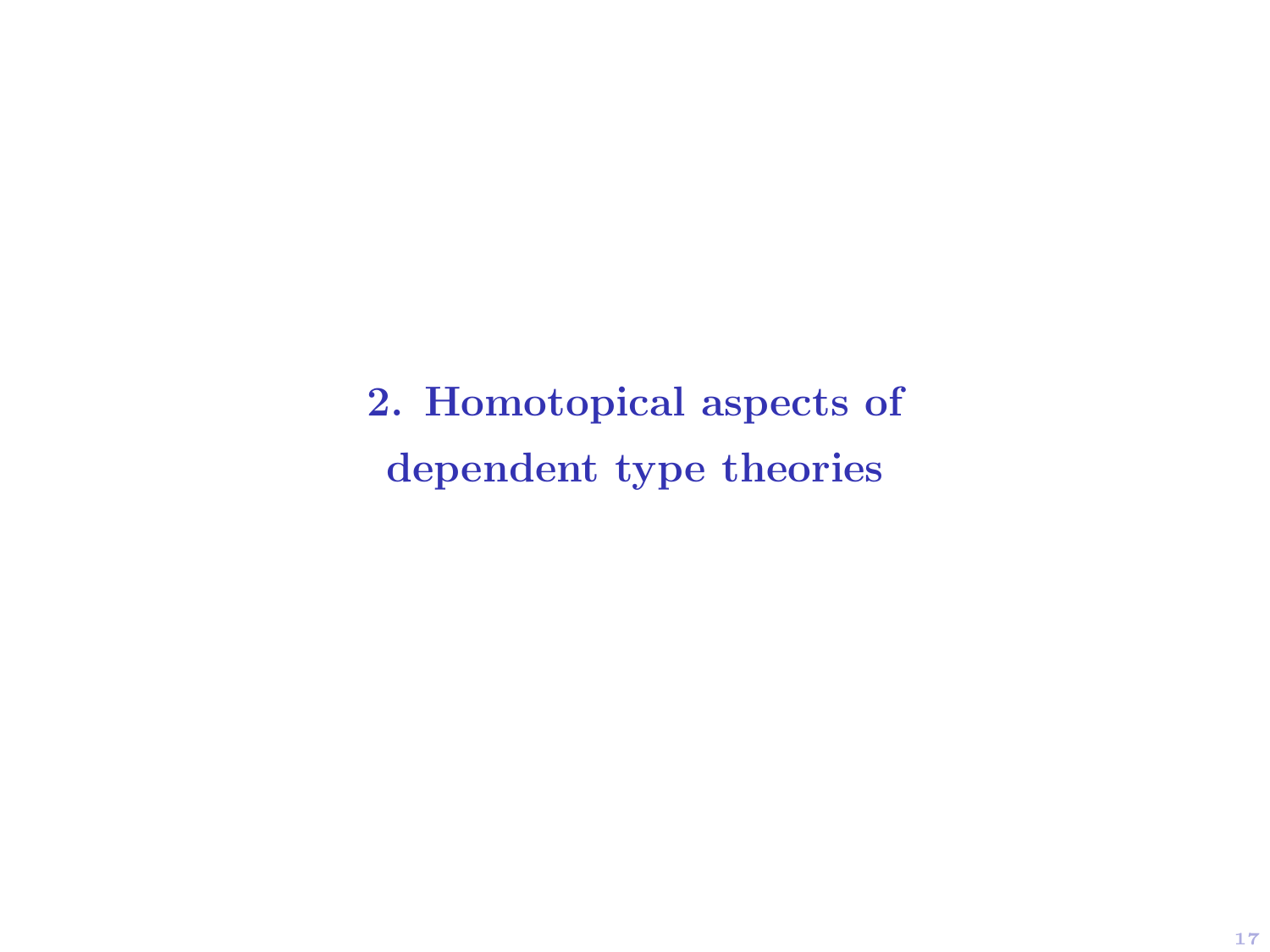2. Homotopical aspects of dependent type theories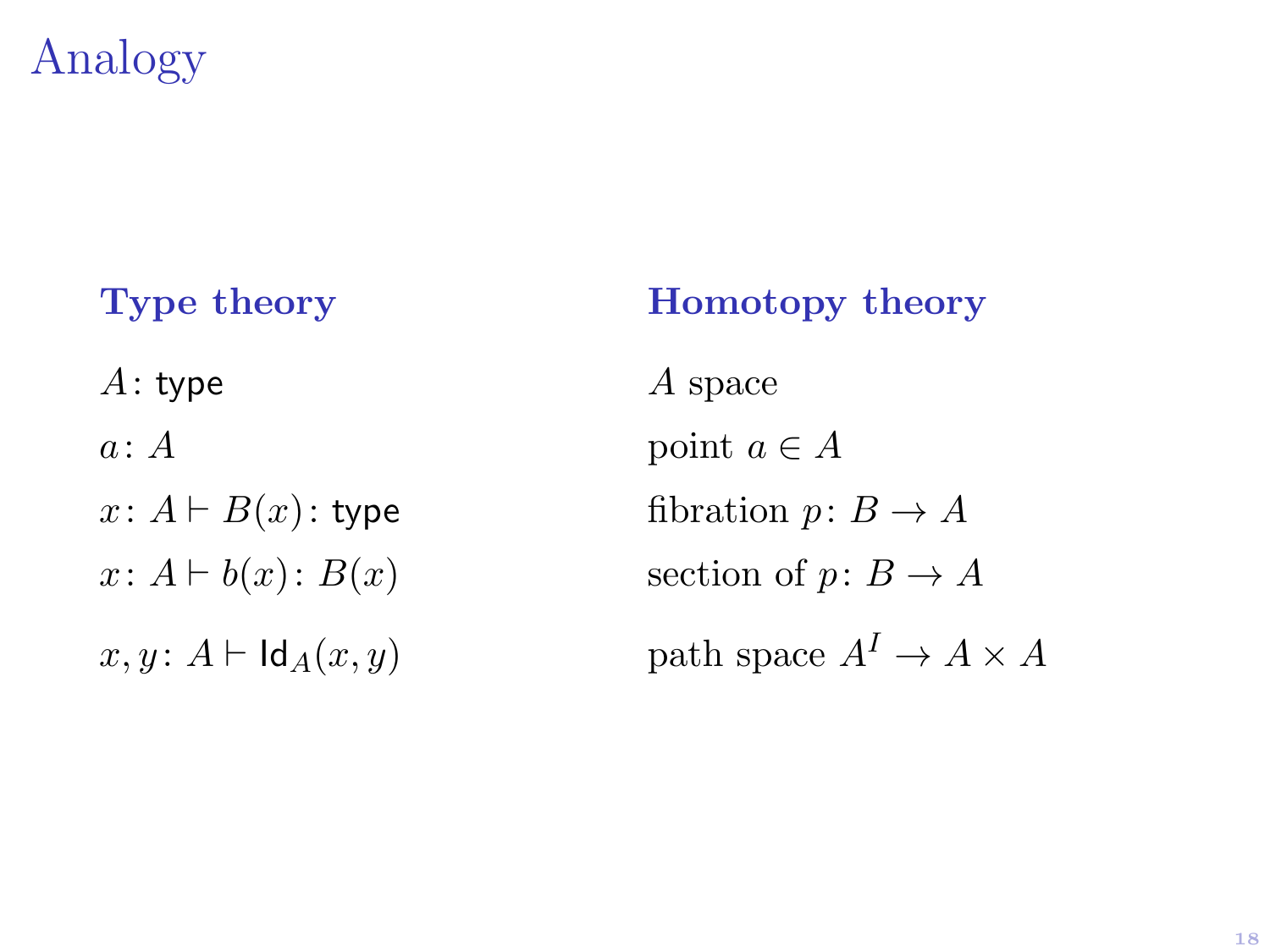# Analogy

 $A:$  type  $A$  space  $a: A$  point  $a \in A$ 

Type theory **Homotopy** theory  $x: A \vdash B(x):$  type fibration  $p: B \to A$  $x: A \vdash b(x): B(x)$  section of  $p: B \to A$  $x, y: A \vdash \mathsf{Id}_A(x, y)$  path space  $A^I \to A \times A$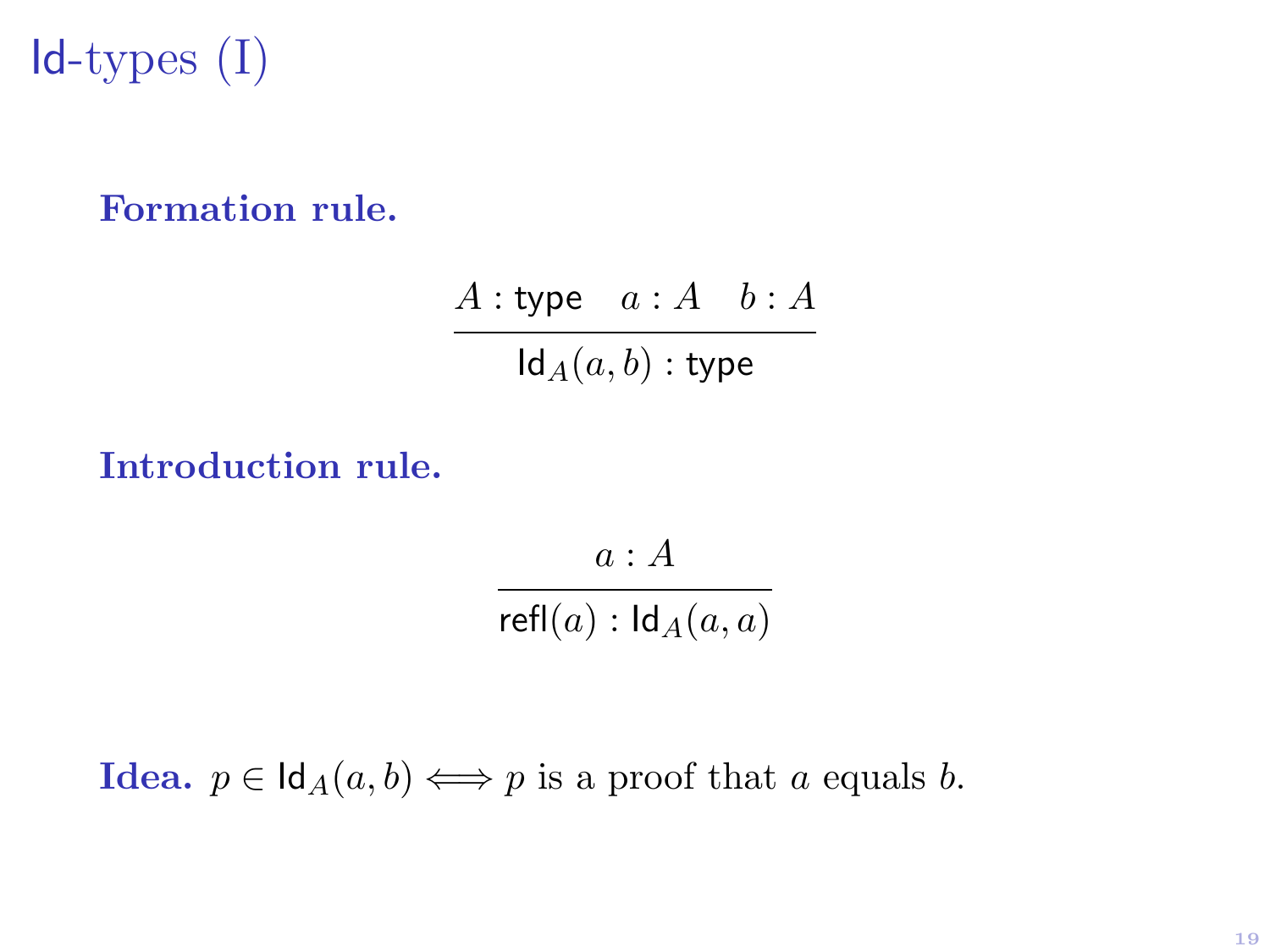$Id$ -types  $(I)$ 

#### Formation rule.

 $A :$ type  $a : A \quad b : A$  $\mathsf{Id}_A(a, b)$ : type

#### Introduction rule.

 $a : A$  $refl(a): Id_A(a, a)$ 

**Idea.**  $p \in \text{Id}_{A}(a, b) \iff p$  is a proof that a equals b.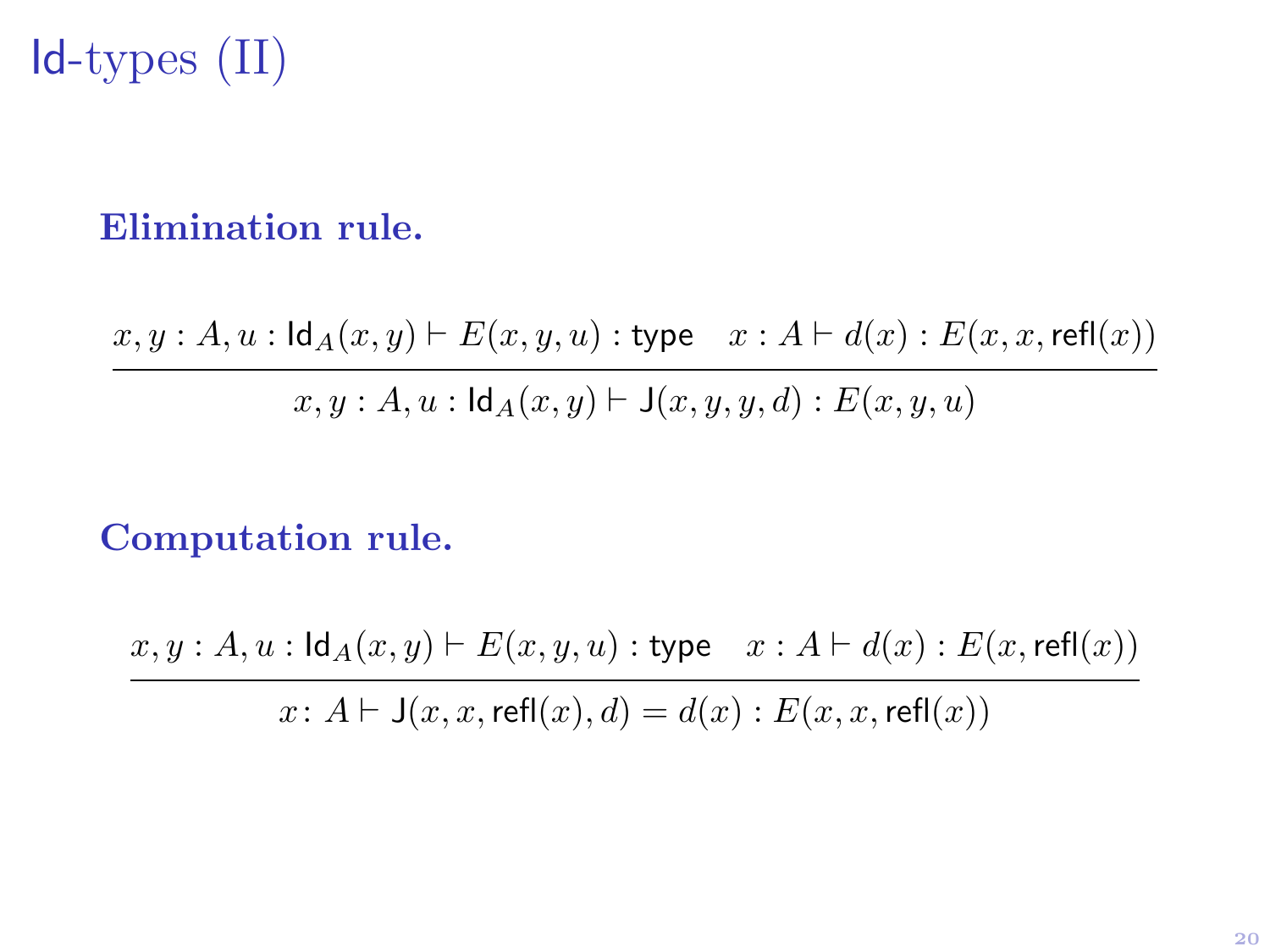# Id-types (II)

#### Elimination rule.

 $x, y : A, u : \mathsf{Id}_A(x, y) \vdash E(x, y, u) : \mathsf{type} \quad x : A \vdash d(x) : E(x, x, \mathsf{refl}(x))$ 

 $x, y : A, u : \mathsf{Id}_A(x, y) \vdash \mathsf{J}(x, y, y, d) : E(x, y, u)$ 

#### Computation rule.

 $x, y : A, u : \mathsf{Id}_A(x, y) \vdash E(x, y, u) : \mathsf{type} \quad x : A \vdash d(x) : E(x, \mathsf{refl}(x))$  $x: A \vdash J(x, x, \text{refl}(x), d) = d(x) : E(x, x, \text{refl}(x))$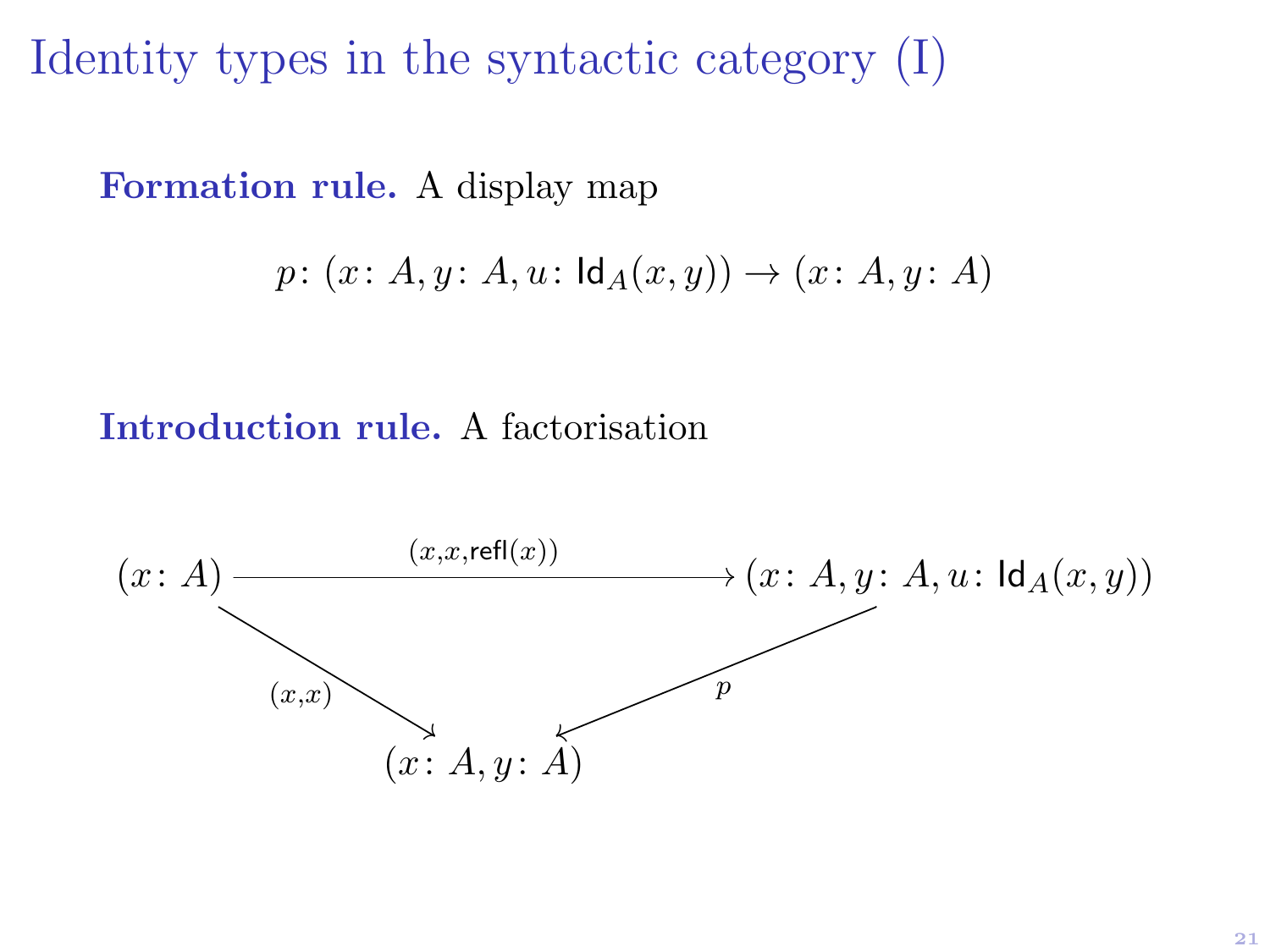Identity types in the syntactic category (I)

Formation rule. A display map

$$
p\colon (x\colon A,y\colon A,u\colon \mathsf{Id}_A(x,y))\to (x\colon A,y\colon A)
$$

Introduction rule. A factorisation

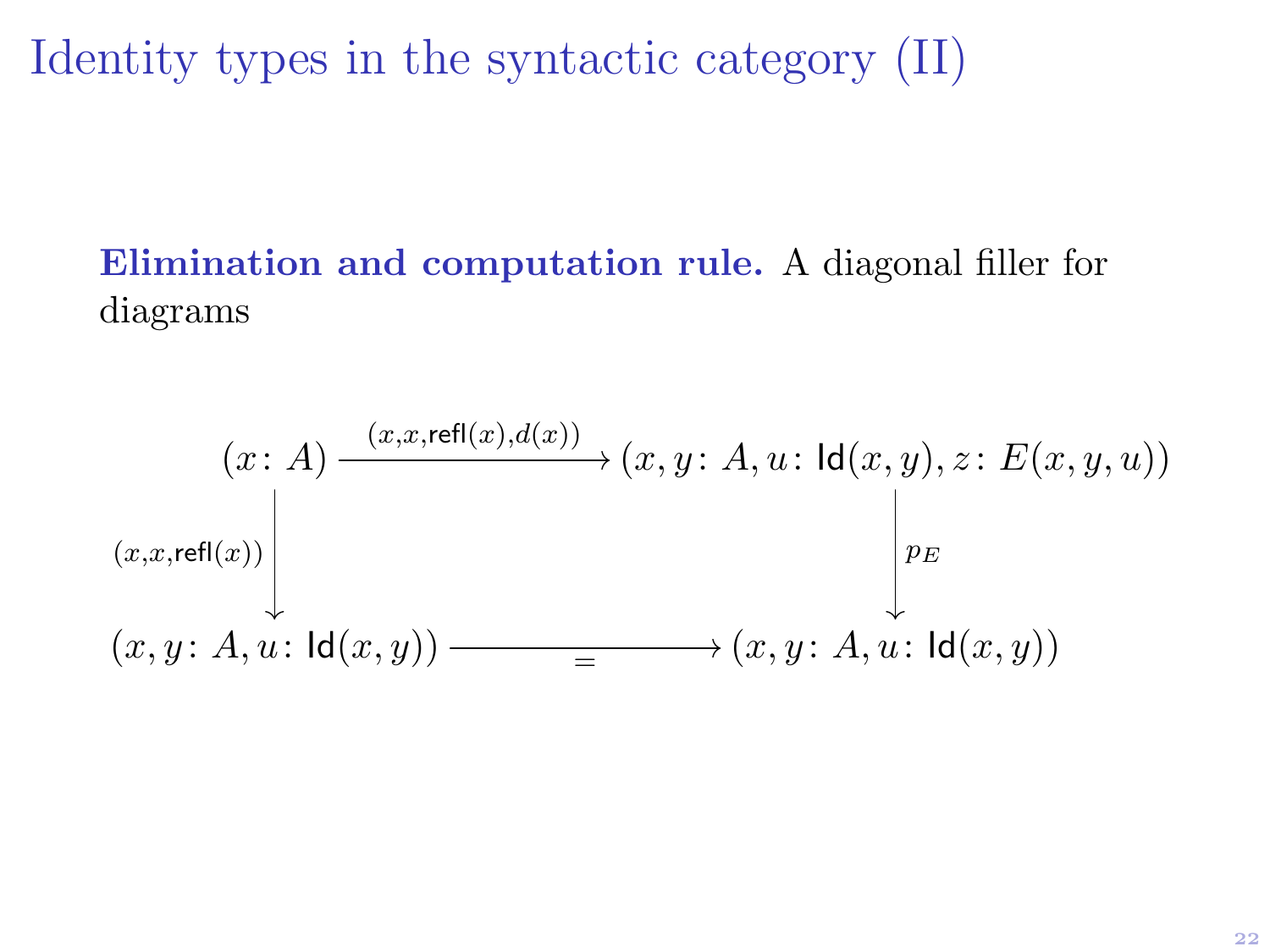Identity types in the syntactic category (II)

#### Elimination and computation rule. A diagonal filler for diagrams

$$
(x: A) \xrightarrow{(x,x,\text{refl}(x),d(x))} (x,y: A, u: \text{ld}(x,y), z: E(x,y,u))
$$
  

$$
(x,x,\text{refl}(x)) \xrightarrow{\left\vert x \right\vert} p_E
$$
  

$$
(x,y: A, u: \text{ld}(x,y)) \xrightarrow{=} (x,y: A, u: \text{ld}(x,y))
$$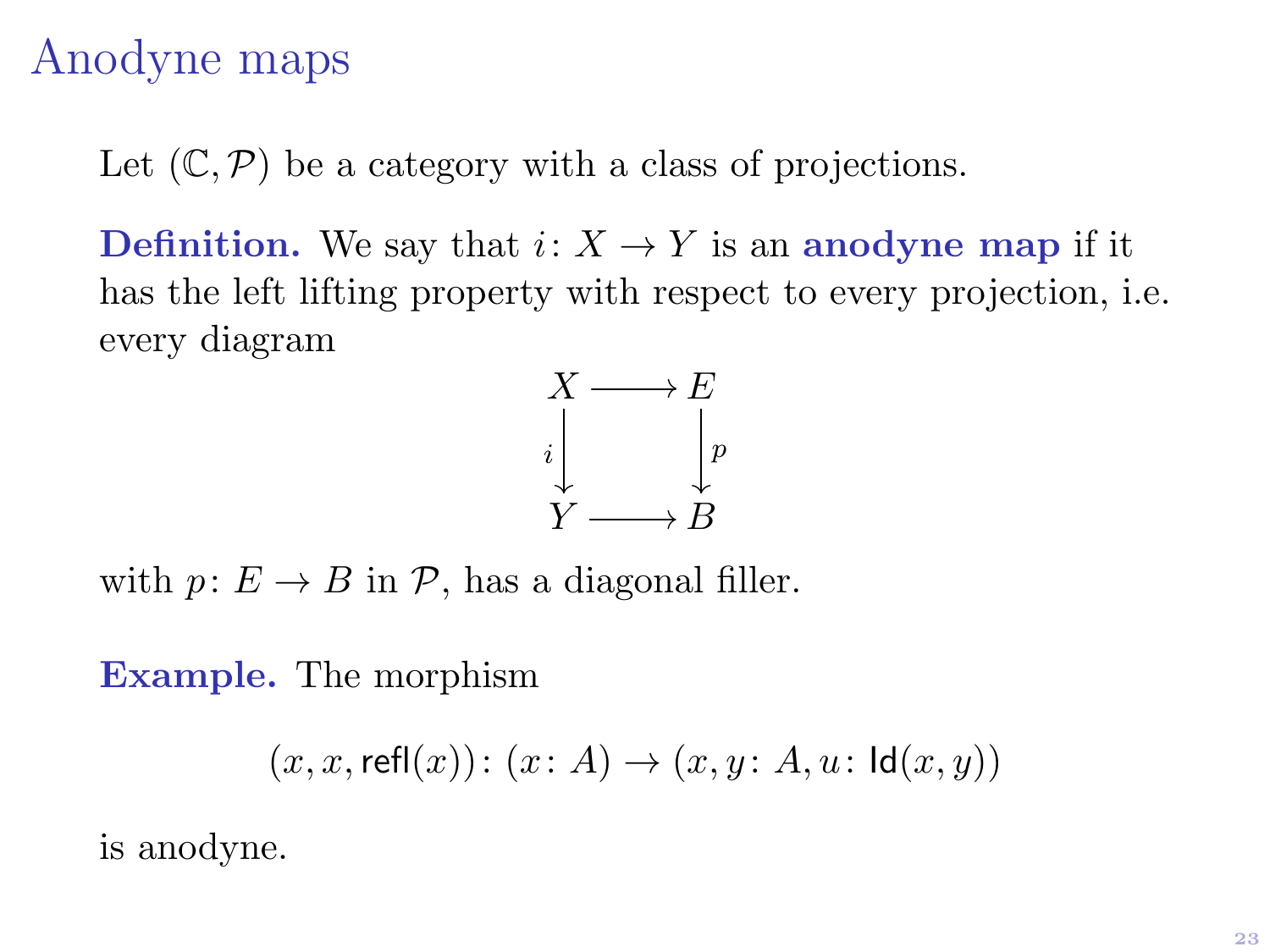### Anodyne maps

Let  $(\mathbb{C}, \mathcal{P})$  be a category with a class of projections.

**Definition.** We say that  $i: X \to Y$  is an anodyne map if it has the left lifting property with respect to every projection, i.e. every diagram



with  $p: E \to B$  in  $\mathcal{P}$ , has a diagonal filler.

Example. The morphism

$$
(x,x,\mathsf{refl}(x))\colon (x\colon A)\to (x,y\colon A,u\colon \mathsf{Id}(x,y))
$$

is anodyne.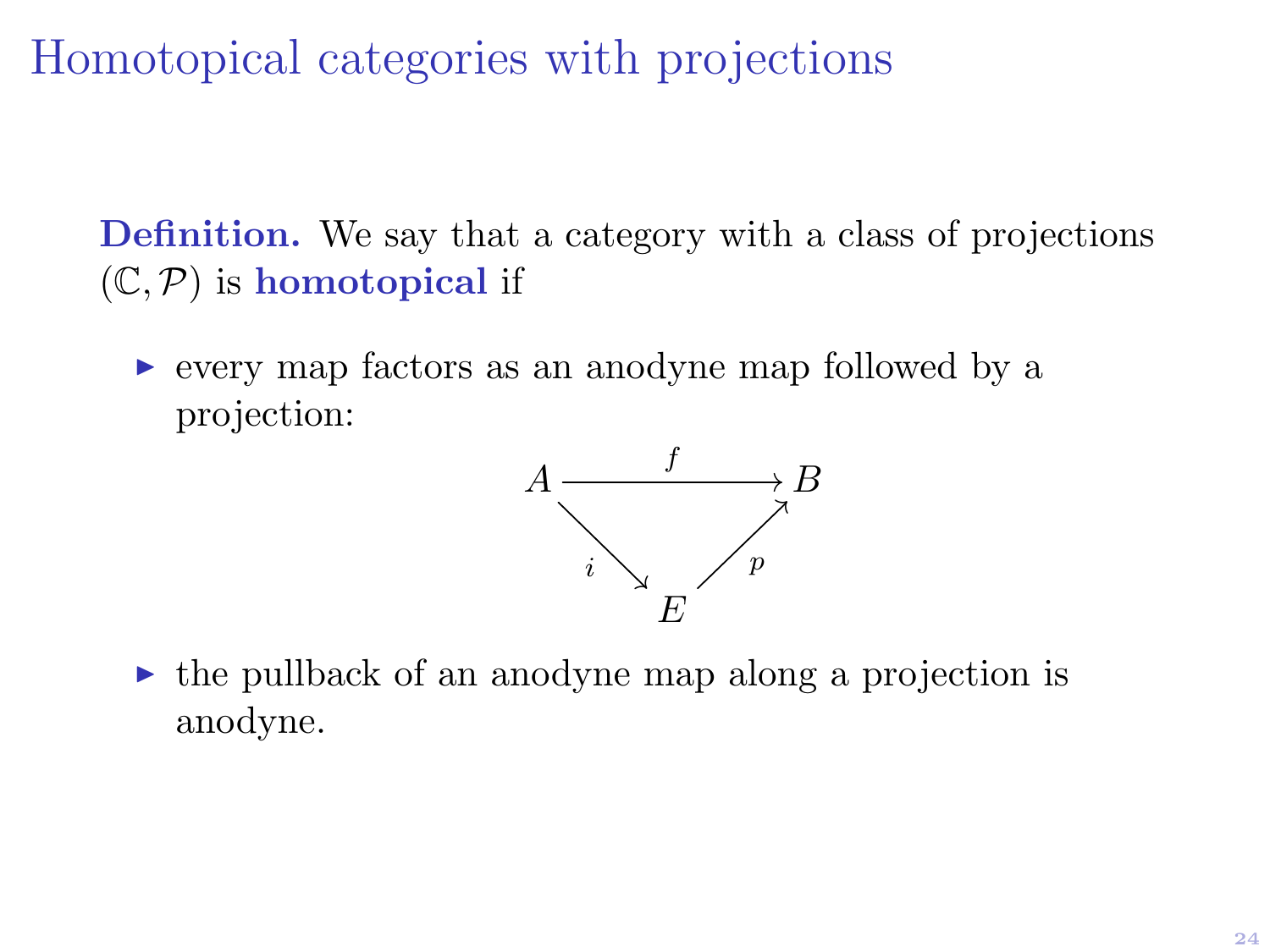Homotopical categories with projections

Definition. We say that a category with a class of projections  $(\mathbb{C}, \mathcal{P})$  is homotopical if

 $\triangleright$  every map factors as an anodyne map followed by a projection:



 $\triangleright$  the pullback of an anodyne map along a projection is anodyne.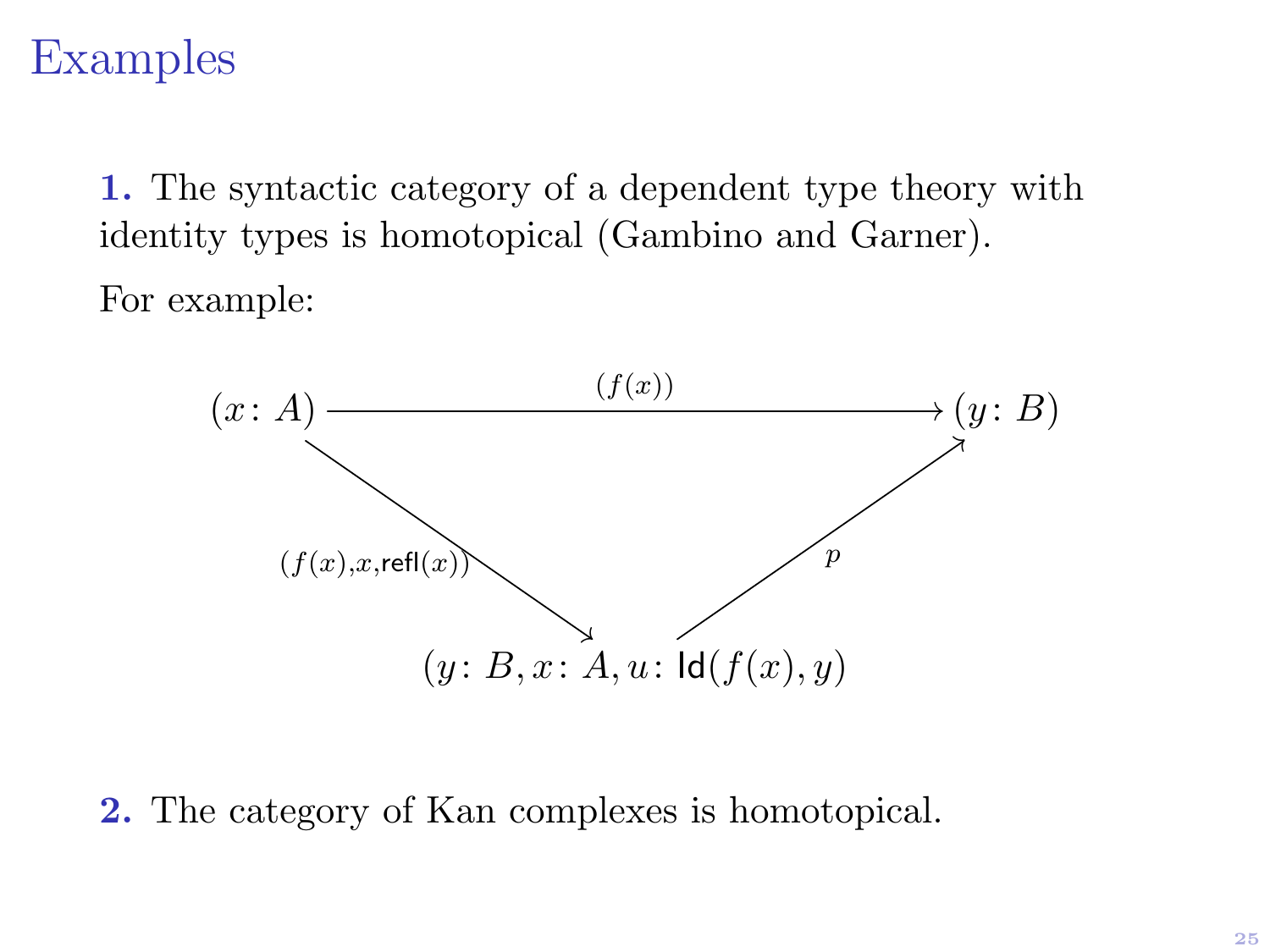### Examples

1. The syntactic category of a dependent type theory with identity types is homotopical (Gambino and Garner). For example:



2. The category of Kan complexes is homotopical.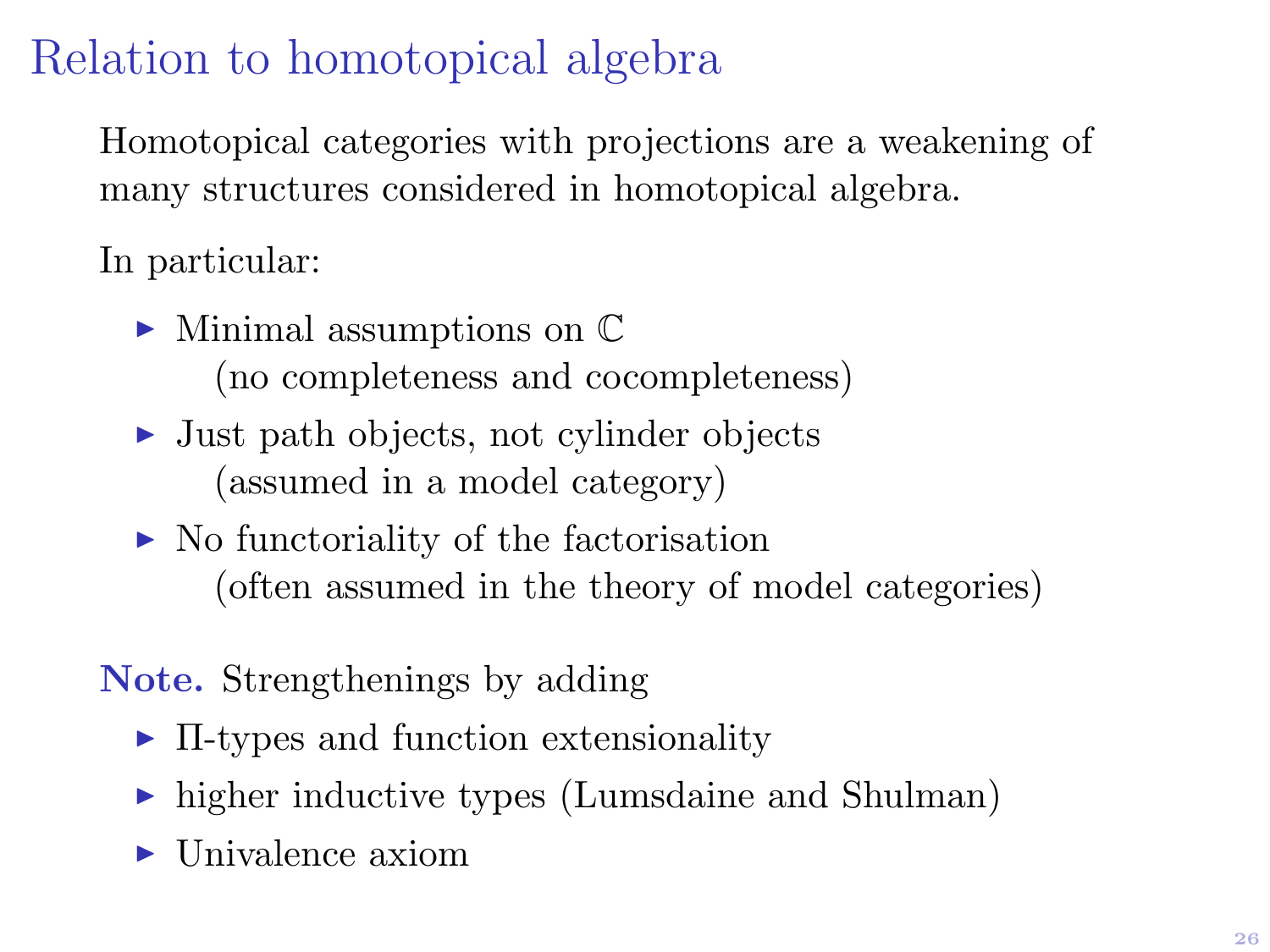# Relation to homotopical algebra

Homotopical categories with projections are a weakening of many structures considered in homotopical algebra.

In particular:

- $\blacktriangleright$  Minimal assumptions on  $\mathbb C$ (no completeness and cocompleteness)
- $\triangleright$  Just path objects, not cylinder objects (assumed in a model category)
- $\triangleright$  No functoriality of the factorisation (often assumed in the theory of model categories)

### Note. Strengthenings by adding

- $\blacktriangleright$  II-types and function extensionality
- $\triangleright$  higher inductive types (Lumsdaine and Shulman)
- $\blacktriangleright$  Univalence axiom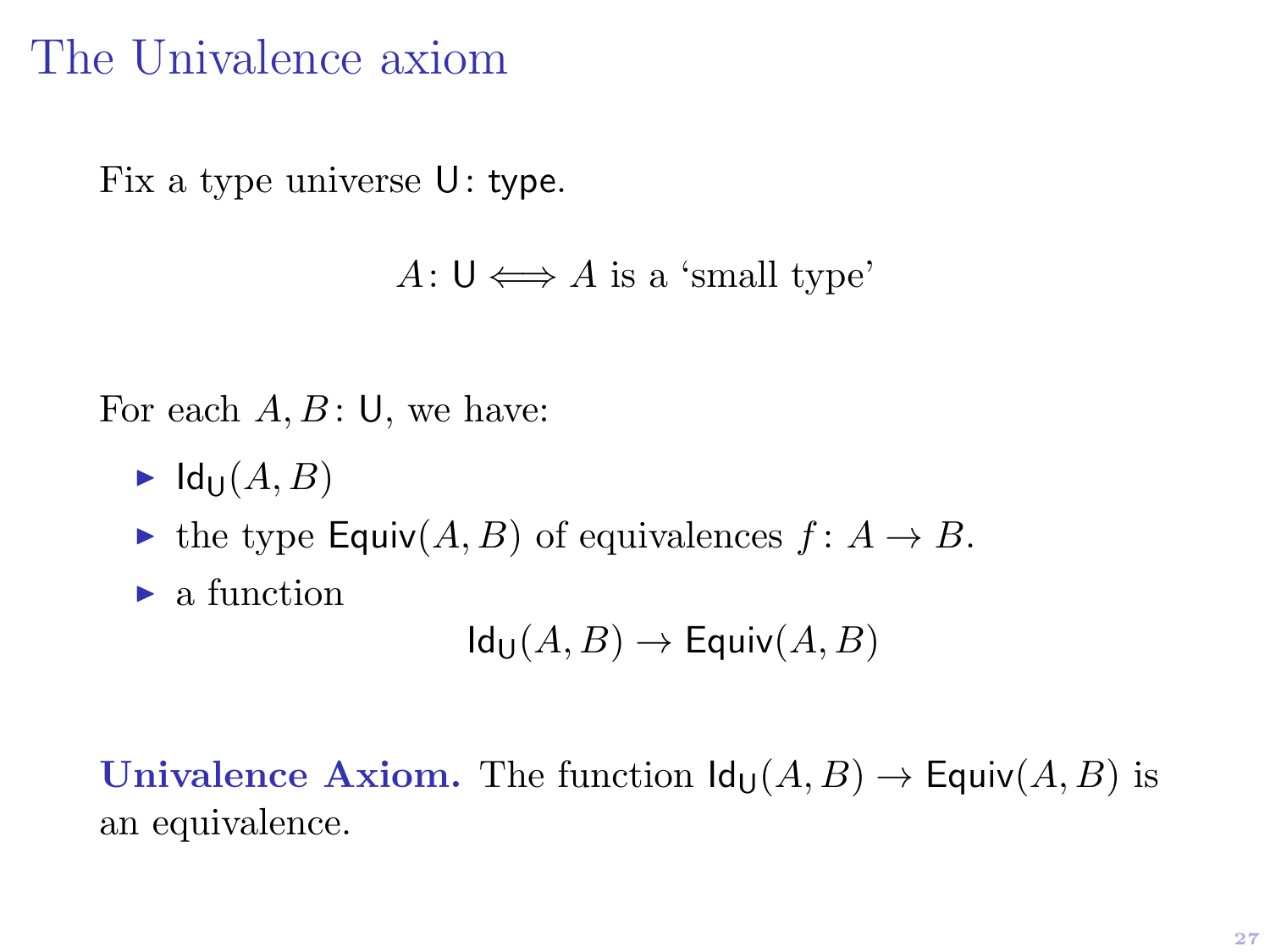### The Univalence axiom

Fix a type universe U: type.

```
A: \mathsf{U} \Longleftrightarrow A is a 'small type'
```
For each  $A, B$ : U, we have:

- $\blacktriangleright$  Id<sub>U</sub> $(A, B)$
- $\blacktriangleright$  the type Equiv $(A, B)$  of equivalences  $f : A \to B$ .
- $\blacktriangleright$  a function

$$
Id_{\mathsf{U}}(A,B)\to \mathsf{Equiv}(A,B)
$$

Univalence Axiom. The function  $\text{Id}_{\text{U}}(A, B) \to \text{Equiv}(A, B)$  is an equivalence.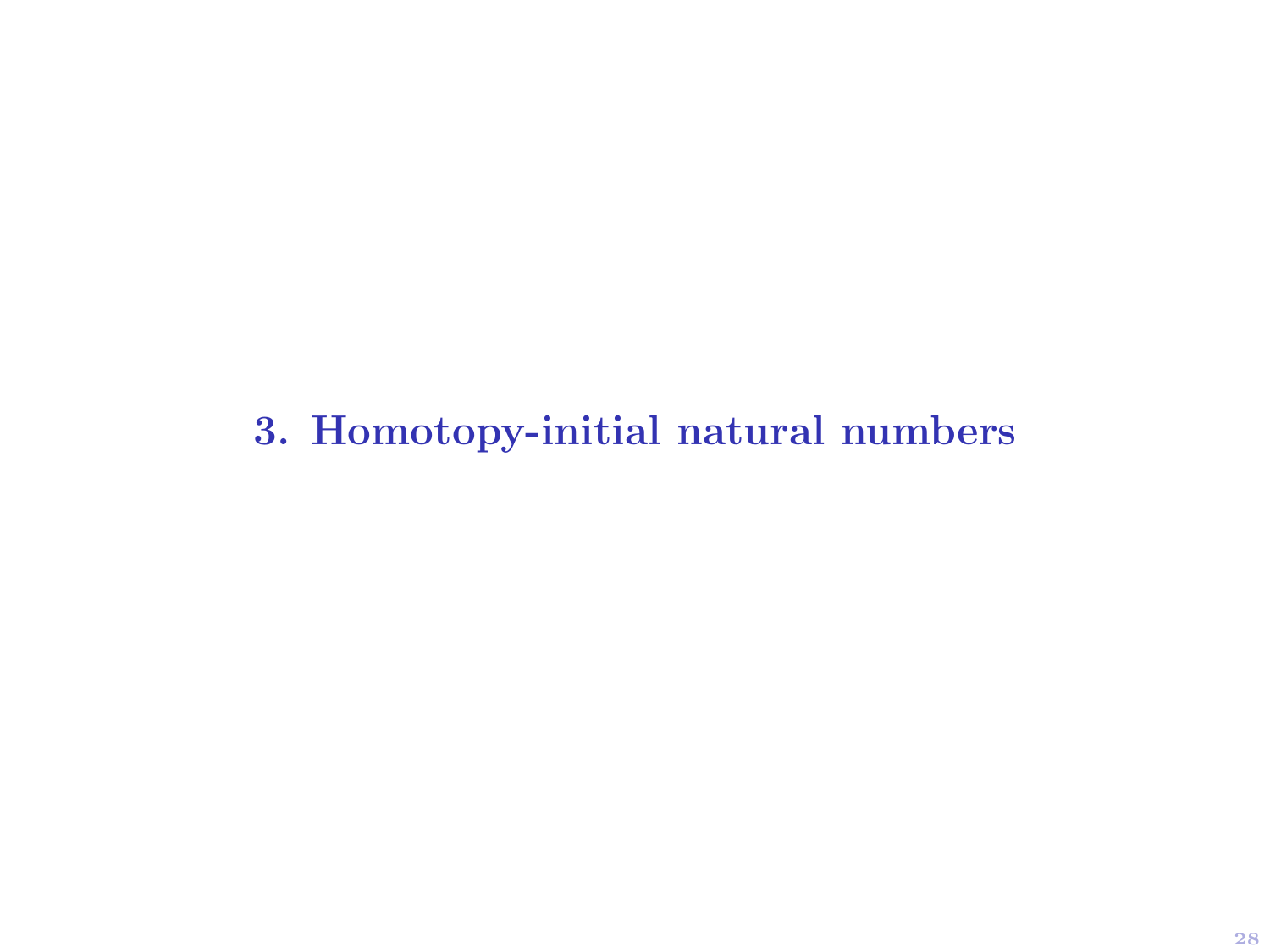3. Homotopy-initial natural numbers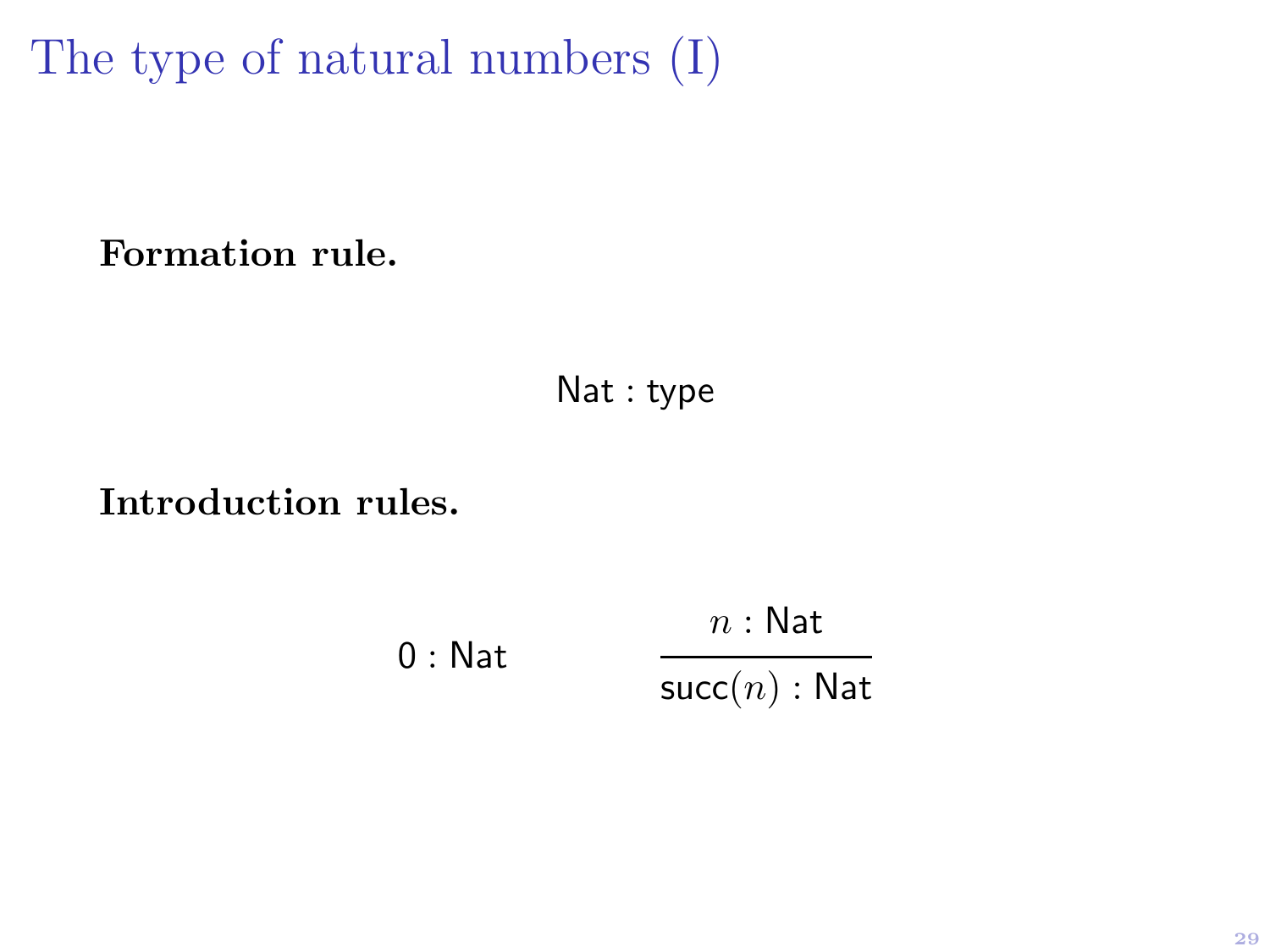The type of natural numbers (I)

Formation rule.

Nat : type

Introduction rules.

0 : Nat  $n : \mathsf{Nat}$  $succ(n)$ : Nat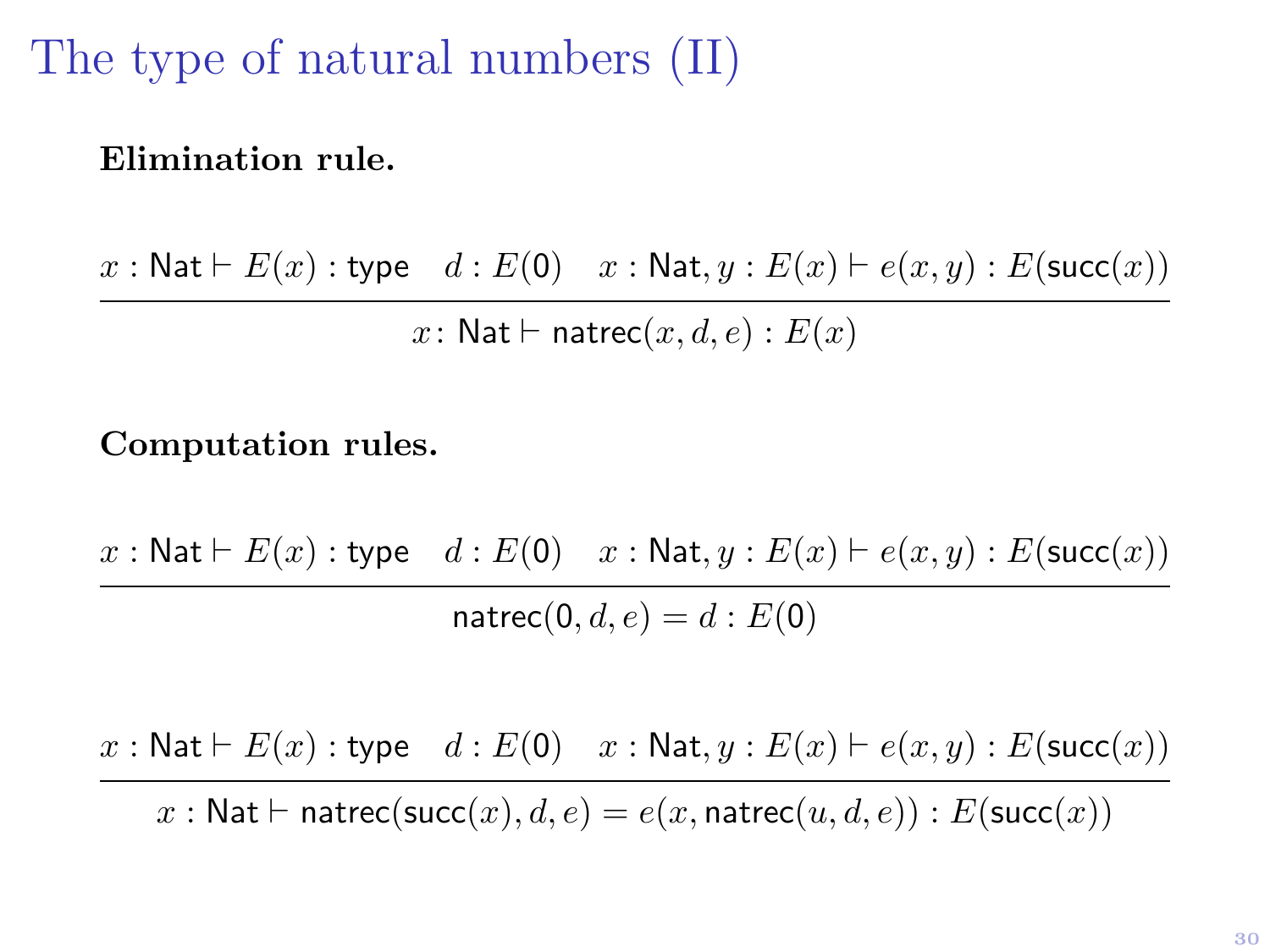## The type of natural numbers (II)

#### Elimination rule.

 $x : \mathsf{Nat} \vdash E(x) : \mathsf{type} \quad d : E(0) \quad x : \mathsf{Nat}, y : E(x) \vdash e(x, y) : E(\mathsf{succ}(x))$ x: Nat  $\vdash$  natrec $(x, d, e) : E(x)$ 

Computation rules.

 $x : \mathsf{Nat} \vdash E(x) : \mathsf{type} \quad d : E(0) \quad x : \mathsf{Nat}, y : E(x) \vdash e(x, y) : E(\mathsf{succ}(x))$ 

 $n \text{atrec}(0, d, e) = d : E(0)$ 

 $x : \mathsf{Nat} \vdash E(x) : \mathsf{type} \quad d : E(\mathsf{0}) \quad x : \mathsf{Nat}, y : E(x) \vdash e(x, y) : E(\mathsf{succ}(x))$ 

x : Nat  $\vdash$  natrec(succ(x),  $d, e$ ) =  $e(x, \text{natrec}(u, d, e))$  :  $E(\text{succ}(x))$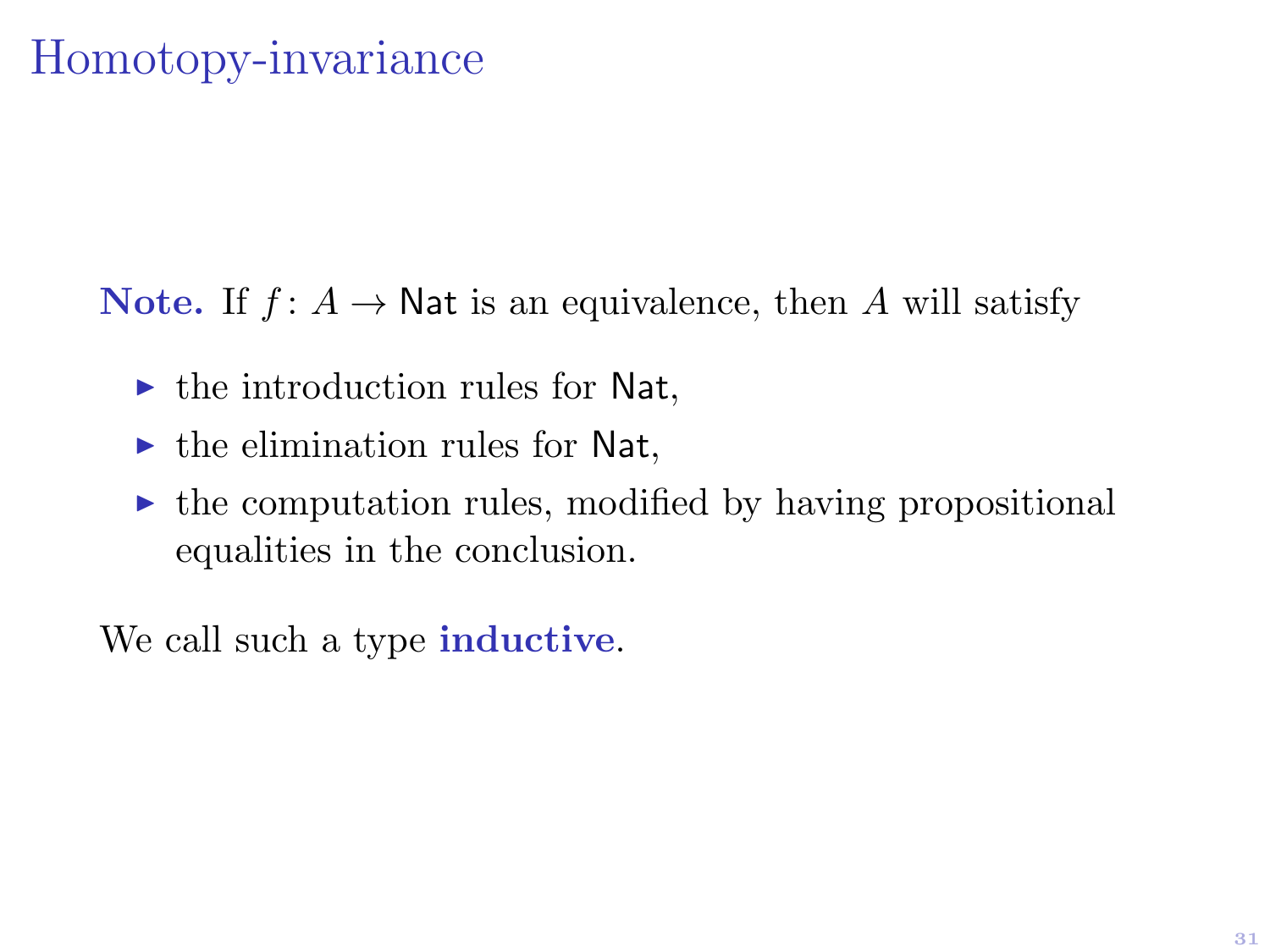### Homotopy-invariance

Note. If  $f: A \to \mathsf{Nat}$  is an equivalence, then A will satisfy

- $\triangleright$  the introduction rules for Nat,
- $\blacktriangleright$  the elimination rules for Nat,
- $\triangleright$  the computation rules, modified by having propositional equalities in the conclusion.

We call such a type **inductive**.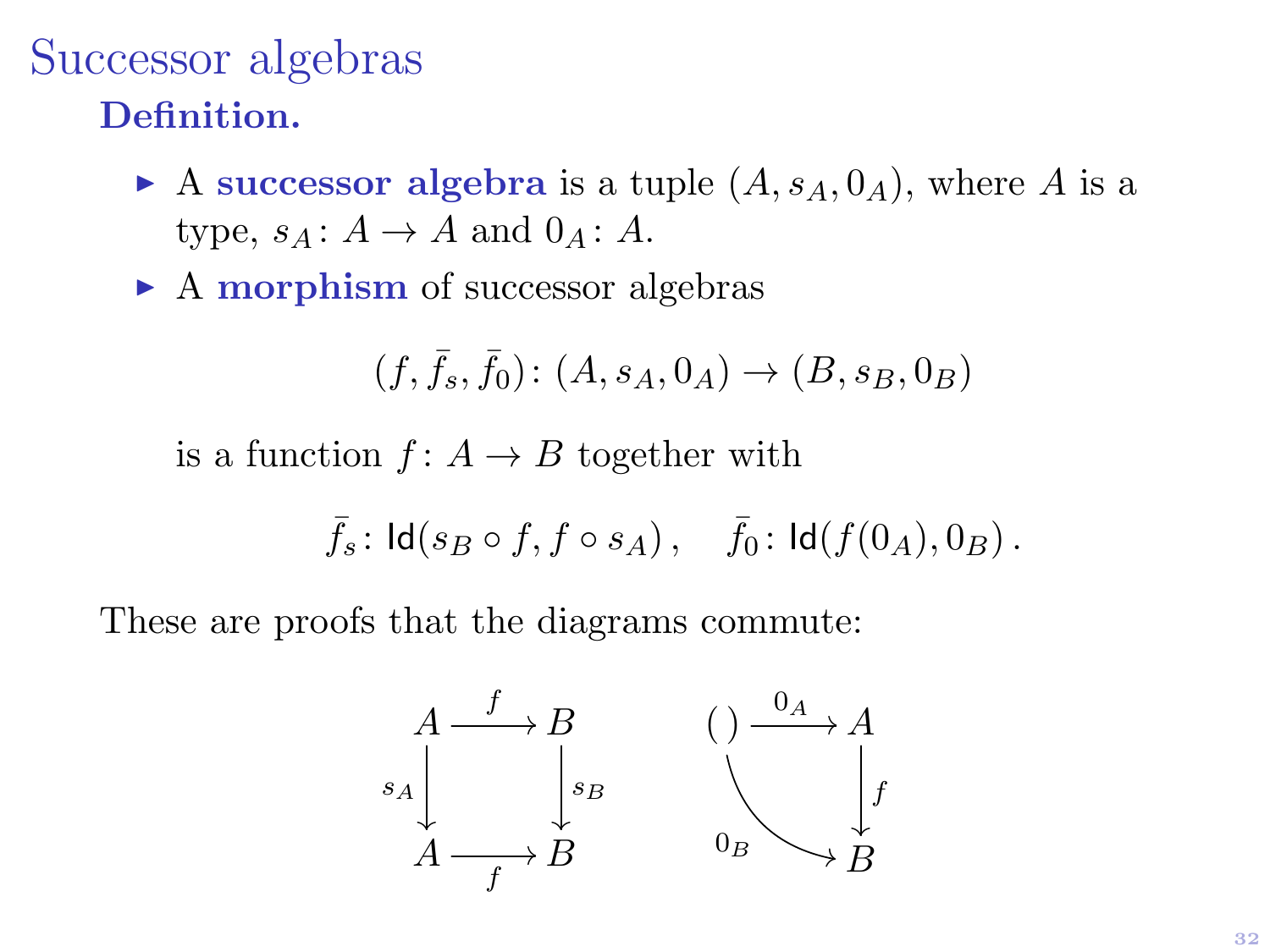### Successor algebras Definition.

- A successor algebra is a tuple  $(A, s<sub>A</sub>, 0<sub>A</sub>)$ , where A is a type,  $s_A: A \to A$  and  $0_A: A$ .
- $\triangleright$  A morphism of successor algebras

$$
(f, \bar{f}_s, \bar{f}_0) \colon (A, s_A, 0_A) \to (B, s_B, 0_B)
$$

is a function  $f: A \rightarrow B$  together with

$$
\bar f_s\colon \mathsf{Id}(s_B\circ f,f\circ s_A)\,,\quad \bar f_0\colon \mathsf{Id}(f(0_A),0_B)\,.
$$

These are proofs that the diagrams commute:

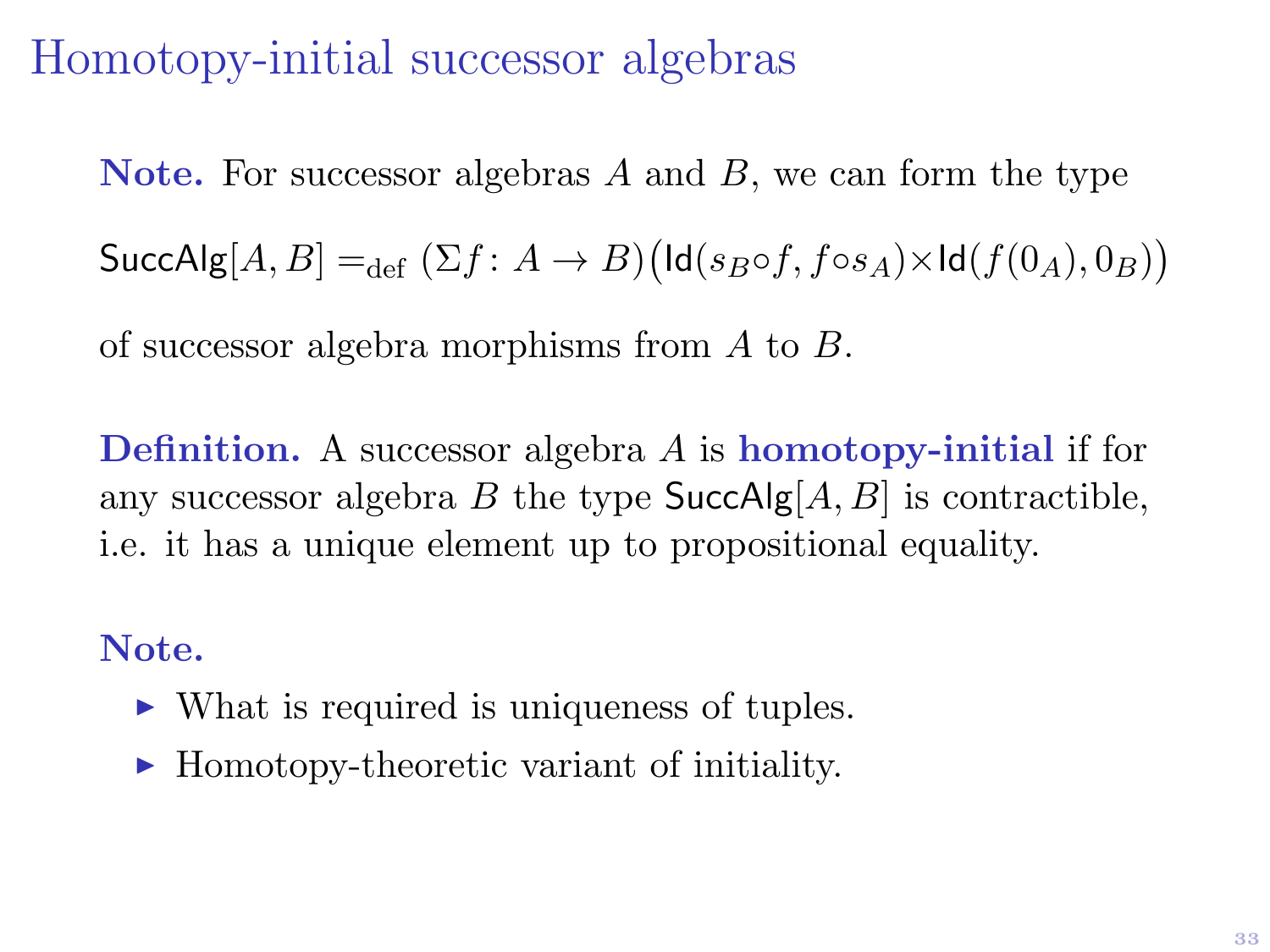## Homotopy-initial successor algebras

Note. For successor algebras  $A$  and  $B$ , we can form the type  $\mathsf{SuccAlg}[A,B] =_{\mathrm{def}} (\Sigma f \colon A \to B) \big(\mathsf{Id}(s_B \circ f, f \circ s_A) \times \mathsf{Id}(f(0_A), 0_B)\big)$ 

of successor algebra morphisms from A to B.

Definition. A successor algebra A is homotopy-initial if for any successor algebra B the type  $SuccAlg[A, B]$  is contractible, i.e. it has a unique element up to propositional equality.

#### Note.

- $\triangleright$  What is required is uniqueness of tuples.
- $\blacktriangleright$  Homotopy-theoretic variant of initiality.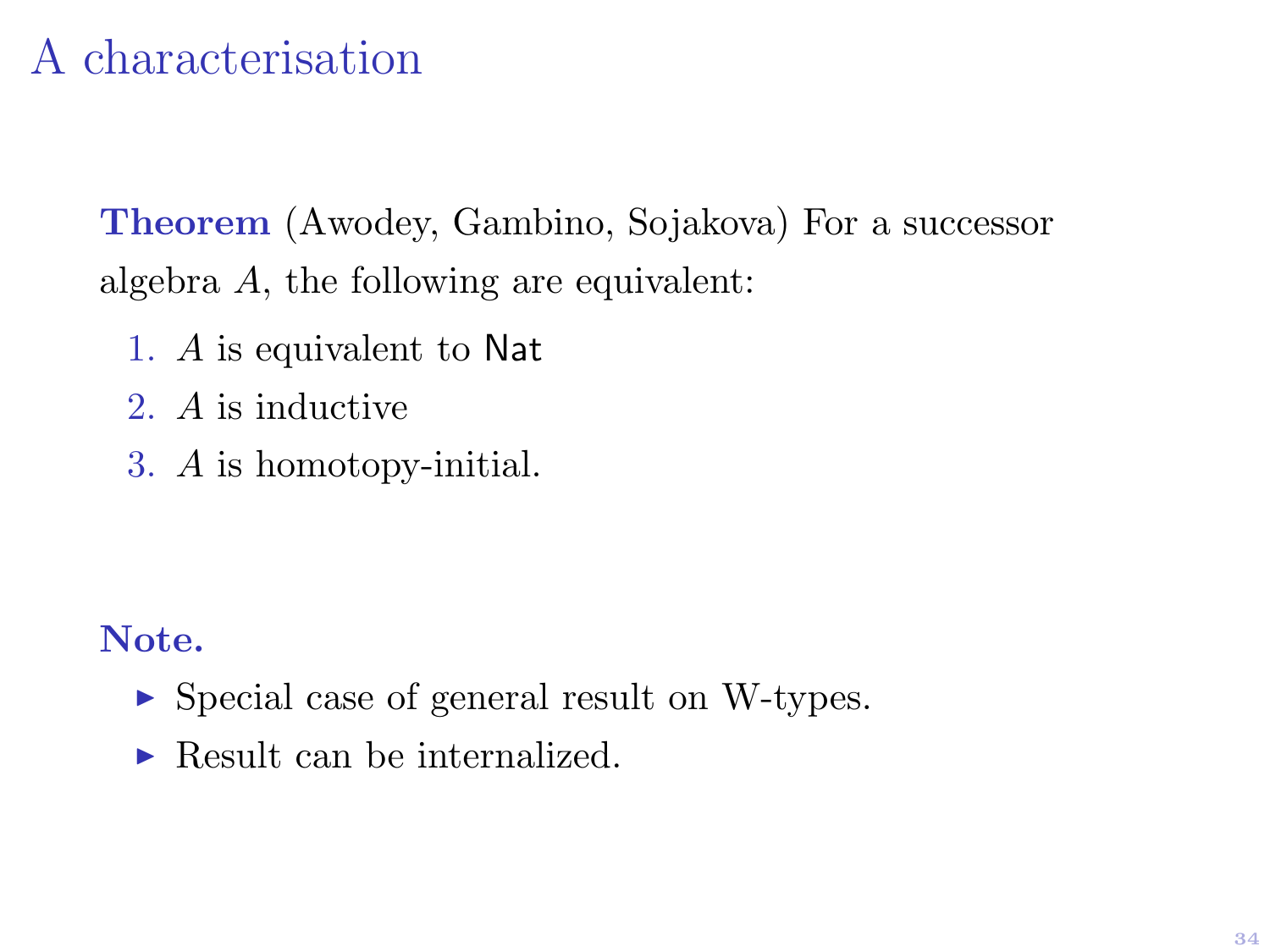# A characterisation

Theorem (Awodey, Gambino, Sojakova) For a successor algebra A, the following are equivalent:

- 1. A is equivalent to Nat
- 2. A is inductive
- 3. A is homotopy-initial.

#### Note.

- ► Special case of general result on W-types.
- $\blacktriangleright$  Result can be internalized.